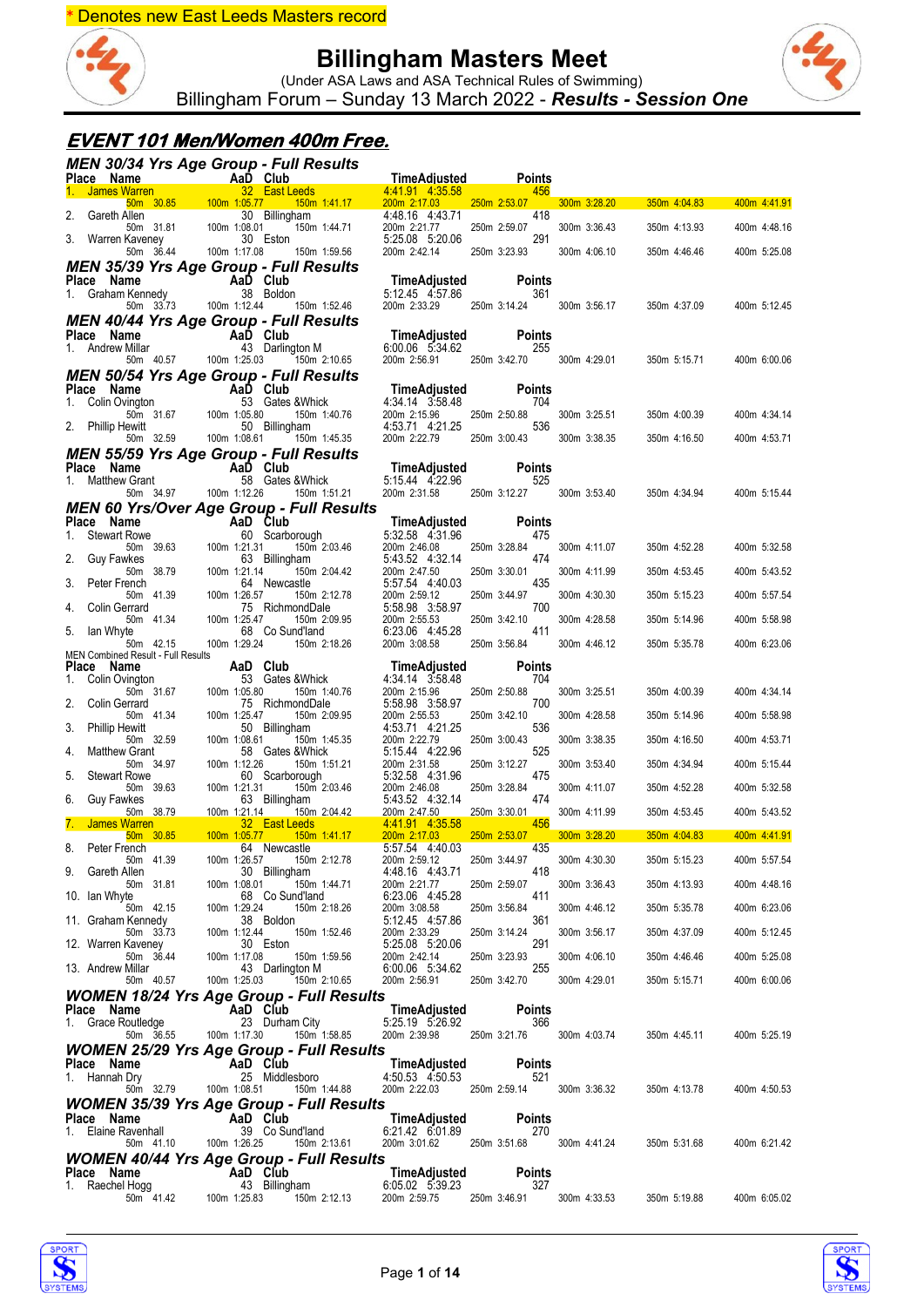



(Under ASA Laws and ASA Technical Rules of Swimming) Billingham Forum – Sunday 13 March 2022 - *Results - Session One*

### **EVENT 101 Men/Women 400m Free.**

|               |                                                                     |               |                           |                           |              | MEN 30/34 Yrs Age Group - Full Results                        |                                                 |                                        |                           |                      |              |                |              |
|---------------|---------------------------------------------------------------------|---------------|---------------------------|---------------------------|--------------|---------------------------------------------------------------|-------------------------------------------------|----------------------------------------|---------------------------|----------------------|--------------|----------------|--------------|
|               | ce Name<br><b>James Warren</b><br><b>Cames Warren</b><br>Place Name |               |                           |                           |              | 32 East Leeds                                                 |                                                 | <b>TimeAdjusted</b><br>4.41.91 4.35.58 |                           | <b>Points</b><br>456 |              |                |              |
|               |                                                                     |               | 50m 30.85 100m 1:05.77    |                           |              |                                                               | $150m$ 1:41.17                                  | 200m 2:17.03                           | 250m 2:53.07              |                      | 300m 3:28.20 | 350m 4:04.83   | 400m 4:41.91 |
| 2.            | Gareth Allen                                                        | 50m 31.81     |                           | 100m 1:08.01              |              | 30 Billingham                                                 | 150m 1:44.71                                    | 4:48.16 4:43.71<br>200m 2:21.77        | 250m 2:59.07              | 418                  | 300m 3:36.43 | 350m 4:13.93   | 400m 4:48.16 |
| 3.            | Warren Kaveney                                                      |               |                           |                           |              | 30 Eston                                                      |                                                 | 5:25.08 5:20.06                        |                           | 291                  |              |                |              |
|               |                                                                     | 50m 36.44     |                           | 100m 1:17.08              |              | 150m 1:59.56                                                  |                                                 | 200m 2:42.14                           | 250m 3:23.93              |                      | 300m 4:06.10 | 350m 4:46.46   | 400m 5:25.08 |
|               | Place Name                                                          |               |                           |                           |              | <b>MEN 35/39 Yrs Age Group - Full Results</b>                 |                                                 | TimeAdjusted                           |                           | <b>Points</b>        |              |                |              |
|               | 1. Graham Kennedy                                                   |               |                           |                           |              | Aa <b>D</b> Club<br>38 Boldor<br>38 Boldon                    |                                                 | 5:12.45 4:57.86                        |                           | 361                  |              |                |              |
|               |                                                                     | 50m 33.73     |                           |                           |              | 100m 1:12.44 150m 1:52.46                                     |                                                 | 200m 2:33.29                           | 250m 3:14.24              |                      | 300m 3:56.17 | 350m 4:37.09   | 400m 5:12.45 |
|               | Place Name                                                          |               |                           |                           |              | <b>MEN 40/44 Yrs Age Group - Full Results</b><br>AaD Club     |                                                 | TimeAdjusted                           |                           | <b>Points</b>        |              |                |              |
|               | 1. Andrew Millar                                                    |               |                           |                           |              | 43 Darlington M                                               |                                                 | 6:00.06 5:34.62                        |                           | 255                  |              |                |              |
|               |                                                                     | 50m  40.57    |                           | 100m 1:25.03              |              | 150m 2:10.65<br><b>MEN 50/54 Yrs Age Group - Full Results</b> |                                                 | 200m 2:56.91 250m 3:42.70              |                           |                      | 300m 4:29.01 | 350m 5:15.71   | 400m 6:00.06 |
|               | Place Name                                                          |               | <b>Example 2</b> AaD Club |                           |              |                                                               |                                                 | TimeAdjusted                           |                           | <b>Points</b>        |              |                |              |
| 1.            | Colin Ovington                                                      | 50m 31.67     |                           | $\frac{53}{100m}$ 1:05.80 |              | 53 Gates & Whick                                              | 150m 1:40.76                                    | 4:34.14 3:58.48<br>200m 2:15.96        | 250m 2:50.88              | 704                  | 300m 3:25.51 | 350m 4:00.39   | 400m 4:34.14 |
|               | 2. Phillip Hewitt                                                   |               |                           |                           |              | 50 Billingham                                                 |                                                 | 4:53.71 4:21.25                        |                           | 536                  |              |                |              |
|               |                                                                     | 50m 32.59     |                           | 100m 1:08.61              |              | 150m 1:45.35                                                  |                                                 | 200m 2:22.79                           | 250m 3:00.43              |                      | 300m 3:38.35 | 350m 4:16.50   | 400m 4:53.71 |
|               | Place Name                                                          |               |                           |                           |              | <b>MEN 55/59 Yrs Age Group - Full Results</b>                 |                                                 | TimeAdjusted                           |                           | <b>Points</b>        |              |                |              |
| 1.            | Matthew Grant                                                       |               | AaD Club<br>58 Gates      |                           |              | 58 Gates & Whick                                              |                                                 | 5:15.44 4:22.96                        |                           | 525                  |              |                |              |
|               |                                                                     | 50m 34.97     |                           | 100m 1:12.26              |              | 150m 1:51.21                                                  |                                                 | 200m 2:31.58                           | 250m 3:12.27              |                      | 300m 3:53.40 | 350m 4:34.94   | 400m 5:15.44 |
|               | Place Name                                                          |               |                           |                           |              | AaD Club                                                      | <b>MEN 60 Yrs/Over Age Group - Full Results</b> | <b>TimeAdjusted</b>                    |                           | <b>Points</b>        |              |                |              |
|               | 1. Stewart Rowe                                                     |               |                           |                           |              | 60 Scarborough                                                |                                                 | 5:32.58 4:31.96                        | 250m 3:28.84              | 475                  |              |                |              |
| 2.            | <b>Guy Fawkes</b>                                                   | 50m 39.63     |                           | 100m 1:21.31              |              | 63 Billingham                                                 | 150m 2:03.46                                    | 200m 2:46.08<br>5:43.52 4:32.14        |                           | 474                  | 300m 4:11.07 | 350m 4:52.28   | 400m 5:32.58 |
| 3.            | Peter French                                                        | 50m 38.79     |                           | 100m 1:21.14              |              | 64 Newcastle                                                  | 150m 2:04.42                                    | 200m 2:47.50<br>5:57.54 4:40.03        | 250m 3:30.01              | 435                  | 300m 4:11.99 | 350m 4:53.45   | 400m 5:43.52 |
|               |                                                                     | 50m 41.39     |                           | 100m 1:26.57              |              |                                                               | 150m 2:12.78                                    | 200m 2:59.12                           | 250m 3:44.97              |                      | 300m 4:30.30 | 350m 5:15.23   | 400m 5:57.54 |
| 4.            | Colin Gerrard                                                       | 50m 41.34     |                           | 100m 1:25.47              |              | 75 RichmondDale                                               | 150m 2:09.95                                    | 5:58.98 3:58.97<br>200m 2:55.53        | 250m 3:42.10              | 700                  | 300m 4:28.58 | 350m 5:14.96   | 400m 5:58.98 |
| 5.            | lan Whyte                                                           |               |                           |                           |              | 68 Co Sund'land                                               |                                                 | 6:23.06 4:45.28                        |                           | 411                  |              |                |              |
|               | MEN Combined Result - Full Results                                  | 50m 42.15     |                           | 100m 1:29.24              |              |                                                               | 150m 2:18.26                                    | 200m 3:08.58                           | 250m 3:56.84              |                      | 300m 4:46.12 | 350m 5:35.78   | 400m 6:23.06 |
|               | Place Name                                                          |               |                           |                           |              | AaD Club                                                      |                                                 | TimeAdjusted                           |                           | <b>Points</b>        |              |                |              |
| 1.            | Colin Ovington                                                      | 50m 31.67     |                           | 100m 1:05.80              |              | 53 Gates & Whick                                              | 150m 1:40.76                                    | 4:34.14 3:58.48<br>200m 2:15.96        | 250m 2:50.88              | 704                  | 300m 3:25.51 | 350m 4:00.39   | 400m 4:34.14 |
| 2.            | Colin Gerrard                                                       | 50m 41.34     |                           | 100m 1:25.47              |              | 75 RichmondDale                                               | 150m 2:09.95                                    | 5:58.98 3:58.97<br>200m 2:55.53        | 250m 3:42.10              | 700                  | 300m 4:28.58 | 350m 5:14.96   | 400m 5:58.98 |
| 3.            | <b>Phillip Hewitt</b>                                               |               |                           |                           |              | 50 Billingham                                                 |                                                 | 4:53.71 4:21.25                        |                           | 536                  |              |                |              |
| 4.            | <b>Matthew Grant</b>                                                | 50m 32.59     |                           | 100m 1:08.61              |              | 58 Gates & Whick                                              | 150m 1:45.35                                    | 200m 2:22.79<br>5:15.44 4:22.96        | 250m 3:00.43              | 525                  | 300m 3:38.35 | 350m 4:16.50   | 400m 4:53.71 |
|               |                                                                     | 50m 34.97     |                           | 100m 1:12.26              |              |                                                               | 150m 1:51.21                                    | 200m 2:31.58                           | 250m 3:12.27              |                      | 300m 3:53.40 | 350m 4:34.94   | 400m 5:15.44 |
| 5.            | <b>Stewart Rowe</b>                                                 | 50m 39.63     |                           | 100m 1:21.31              |              | 60 Scarborough                                                | 150m 2:03.46                                    | 5:32.58 4:31.96<br>200m 2:46.08        | 250m 3:28.84              | 475                  | 300m 4:11.07 | 350m 4:52.28   | 400m 5:32.58 |
| 6.            | Guy Fawkes                                                          |               |                           |                           |              | 63 Billingham                                                 |                                                 | 5:43.52 4:32.14                        |                           | 474                  |              |                |              |
|               | <b>James Warren</b>                                                 | 50m 38.79     |                           | 100m 1:21.14              |              | 32 East Leeds                                                 | 150m 2:04.42                                    | 200m 2:47.50<br>4 4 1 91 4 35 58       | 250m 3:30.01              | 456                  | 300m 4:11.99 | 350m 4:53.45   | 400m 5:43.52 |
| 8.            | Peter French                                                        | $50m$ $30.85$ |                           | 100m 1:05.77              |              | <u>150m 1:41.17</u><br>64 Newcastle                           |                                                 | 200m 2:17.03<br>5:57.54 4:40.03        | 250m 2:53.07              | 435                  | 300m 3:28.20 | $350m$ 4:04.83 | 400m 4:41.91 |
|               |                                                                     | 50m 41.39     |                           |                           | 100m 1:26.57 |                                                               | 150m 2:12.78                                    | 200m 2:59.12                           | 250m 3:44.97              |                      | 300m 4:30.30 | 350m 5:15.23   | 400m 5:57.54 |
| 9.            | Gareth Allen                                                        | 50m 31.81     |                           | 100m 1:08.01              |              | 30 Billingham                                                 | 150m 1:44.71                                    | 4:48.16 4:43.71<br>200m 2:21.77        | 250m 2:59.07              | 418                  | 300m 3:36.43 | 350m 4:13.93   | 400m 4:48.16 |
| 10. Ian Whyte |                                                                     |               |                           |                           |              | 68 Co Sund'land                                               |                                                 | 6:23.06 4:45.28                        |                           | 411                  |              |                |              |
|               | 11. Graham Kennedy                                                  | 50m 42.15     |                           | 100m 1:29.24              |              | 38 Boldon                                                     | 150m 2:18.26                                    | 200m 3:08.58<br>5:12.45 4:57.86        | 250m 3:56.84              | 361                  | 300m 4:46.12 | 350m 5:35.78   | 400m 6:23.06 |
|               |                                                                     | 50m 33.73     |                           | 100m 1:12.44              |              |                                                               | 150m 1:52.46                                    | 200m 2:33.29                           | 250m 3:14.24              |                      | 300m 3:56.17 | 350m 4:37.09   | 400m 5:12.45 |
|               | 12. Warren Kaveney                                                  | 50m 36.44     |                           | 100m 1:17.08              |              | 30 Eston                                                      | 150m 1:59.56                                    | 5:25.08 5:20.06<br>200m 2:42.14        | 250m 3:23.93              | 291                  | 300m 4:06.10 | 350m 4:46.46   | 400m 5:25.08 |
|               | 13. Andrew Millar                                                   | 50m 40.57     |                           | 100m 1:25.03              |              | 43 Darlington M                                               | 150m 2:10.65                                    | 6:00.06 5:34.62<br>200m 2:56.91        | 250m 3:42.70              | 255                  | 300m 4:29.01 | 350m 5:15.71   | 400m 6:00.06 |
|               |                                                                     |               |                           |                           |              |                                                               | <b>WOMEN 18/24 Yrs Age Group - Full Results</b> |                                        |                           |                      |              |                |              |
|               | Place Name                                                          |               |                           |                           | AaD Club     |                                                               |                                                 | TimeAdjusted                           |                           | <b>Points</b>        |              |                |              |
|               | 1. Grace Routledge                                                  | 50m 36.55     |                           | 100m 1:17.30              |              | 23 Durham City                                                | 150m 1:58.85                                    | 5:25.19 5:26.92<br>200m 2:39.98        | 250m 3:21.76 300m 4:03.74 | 366                  |              | 350m 4:45.11   | 400m 5:25.19 |
|               |                                                                     |               |                           |                           |              |                                                               | <b>WOMEN 25/29 Yrs Age Group - Full Results</b> |                                        |                           |                      |              |                |              |
|               | Place Name                                                          |               |                           |                           | AaD Club     |                                                               |                                                 | TimeAdjusted                           |                           | Points               |              |                |              |
|               | 1. Hannah Dry                                                       | 50m 32.79     |                           | 100m 1:08.51              |              | 25 Middlesboro                                                | 150m 1:44.88                                    | 4:50.53 4:50.53<br>200m 2:22.03        | 250m 2:59.14              | 521                  | 300m 3:36.32 | 350m 4:13.78   | 400m 4:50.53 |
|               |                                                                     |               |                           |                           |              |                                                               | <b>WOMEN 35/39 Yrs Age Group - Full Results</b> |                                        |                           |                      |              |                |              |
|               | Place Name                                                          |               |                           |                           | AaD Club     |                                                               |                                                 | TimeAdjusted                           |                           | Points               |              |                |              |
|               | 1. Elaine Ravenhall                                                 | 50m 41.10     |                           | 100m 1:26.25              |              | 39 Co Sund'land                                               | 150m 2:13.61                                    | 6:21.42 6:01.89<br>200m 3:01.62        | 250m 3:51.68              | 270                  | 300m 4:41.24 | 350m 5:31.68   | 400m 6:21.42 |
|               |                                                                     |               |                           |                           |              |                                                               | <b>WOMEN 40/44 Yrs Age Group - Full Results</b> |                                        |                           |                      |              |                |              |
|               | Place Name<br>1. Raechel Hogg                                       |               |                           |                           | AaD Club     | 43 Billingham                                                 |                                                 | TimeAdjusted<br>6:05.02 5:39.23        |                           | <b>Points</b><br>327 |              |                |              |
|               |                                                                     | 50m 41.42     |                           | 100m 1:25.83              |              |                                                               | 150m 2:12.13                                    | 200m 2:59.75                           | 250m 3:46.91              |                      | 300m 4:33.53 | 350m 5:19.88   | 400m 6:05.02 |



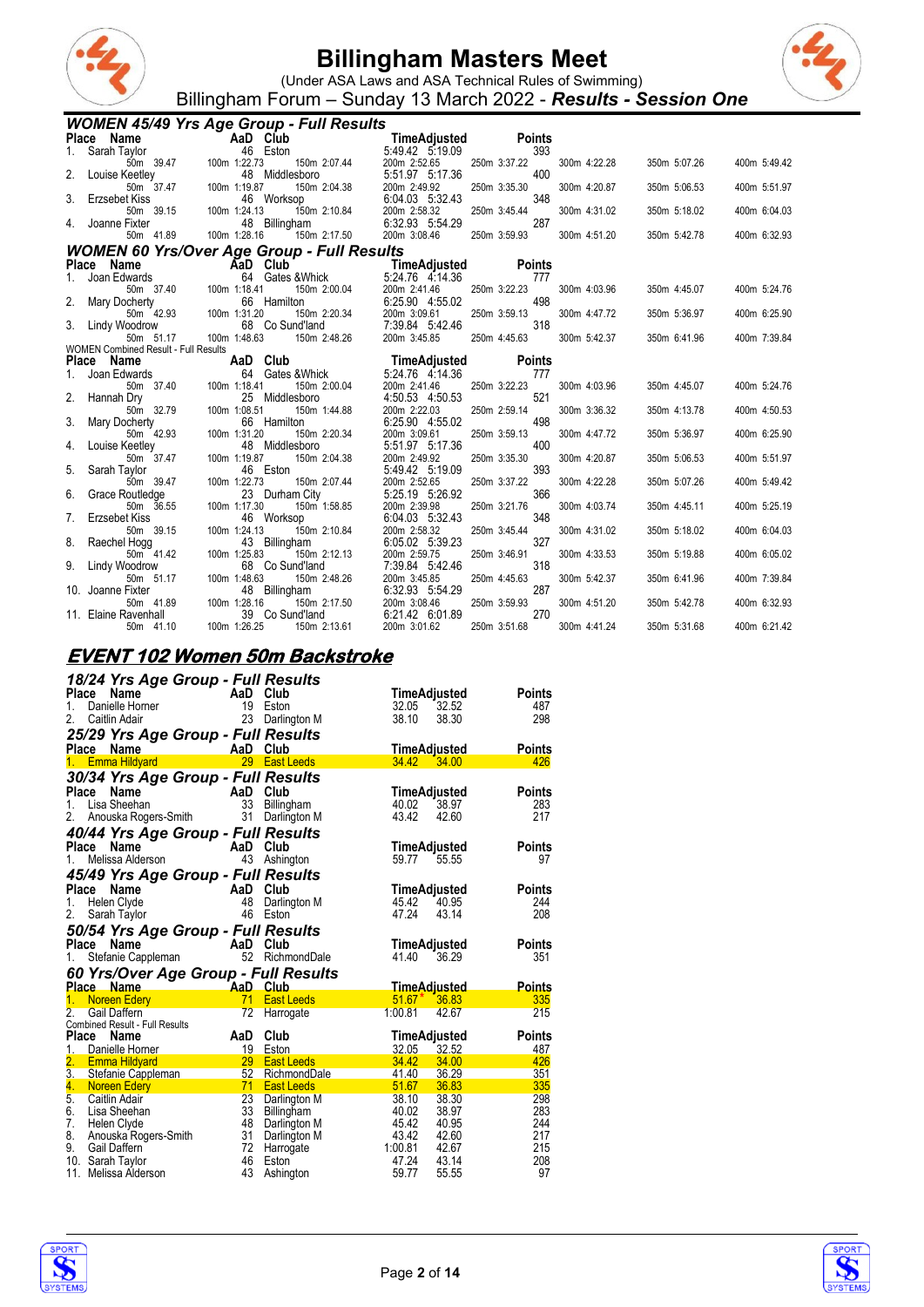



(Under ASA Laws and ASA Technical Rules of Swimming) Billingham Forum – Sunday 13 March 2022 - *Results - Session One*

|     |                                                          | <b>WOMEN 45/49 Yrs Age Group - Full Results</b>   |                                 |                     |              |              |              |
|-----|----------------------------------------------------------|---------------------------------------------------|---------------------------------|---------------------|--------------|--------------|--------------|
|     | Place Name                                               | AaD Club                                          | TimeAdjusted                    | <b>Points</b>       |              |              |              |
| 1.  | Sarah Taylor                                             | 46 Eston                                          | 5:49.42 5:19.09                 | 393                 |              |              |              |
|     | 50m 39.47                                                | 100m 1:22.73<br>150m 2:07.44                      | 200m 2:52.65                    | 250m 3:37.22        | 300m 4:22.28 | 350m 5:07.26 | 400m 5:49.42 |
| 2.  | Louise Keetley                                           | 48 Middlesboro                                    | 5:51.97 5:17.36                 | 400                 |              |              |              |
|     | 50m 37.47                                                | 100m 1:19.87<br>150m 2:04.38                      | 200m 2:49.92<br>6:04.03 5:32.43 | 250m 3:35.30<br>348 | 300m 4:20.87 | 350m 5:06.53 | 400m 5:51.97 |
| 3.  | Erzsebet Kiss<br>50m 39.15                               | 46 Worksop<br>100m 1:24.13<br>150m 2:10.84        | 200m 2:58.32                    | 250m 3:45.44        | 300m 4:31.02 | 350m 5:18.02 | 400m 6:04.03 |
|     | Joanne Fixter                                            | 48 Billingham                                     | 6:32.93 5:54.29                 | 287                 |              |              |              |
|     | 50m 41.89                                                | 100m 1:28.16<br>150m 2:17.50                      | 200m 3:08.46                    | 250m 3:59.93        | 300m 4:51.20 | 350m 5:42.78 | 400m 6:32.93 |
|     |                                                          | <b>WOMEN 60 Yrs/Over Age Group - Full Results</b> |                                 |                     |              |              |              |
|     | Place Name                                               | AaD Club                                          | TimeAdjusted                    | <b>Points</b>       |              |              |              |
|     | Joan Edwards                                             | 64 Gates & Whick                                  | 5:24.76 4:14.36                 | 777                 |              |              |              |
|     | 50m 37.40                                                | 100m 1:18.41<br>150m 2:00.04                      | 200m 2:41.46                    | 250m 3:22.23        | 300m 4:03.96 | 350m 4:45.07 | 400m 5:24.76 |
|     | Mary Docherty                                            | 66 Hamilton                                       | 6:25.90 4:55.02                 | 498                 |              |              |              |
|     | 50m 42.93                                                | 100m 1:31.20<br>150m 2:20.34                      | 200m 3:09.61                    | 250m 3:59.13        | 300m 4:47.72 | 350m 5:36.97 | 400m 6:25.90 |
| 3.  | Lindy Woodrow                                            | 68 Co Sund'land                                   | 7:39.84 5:42.46                 | 318                 |              |              |              |
|     | 50m 51.17<br><b>WOMEN Combined Result - Full Results</b> | 100m 1:48.63<br>150m 2:48.26                      | 200m 3:45.85                    | 250m 4:45.63        | 300m 5:42.37 | 350m 6:41.96 | 400m 7:39.84 |
|     | Place Name                                               | AaD Club                                          | TimeAdjusted                    | <b>Points</b>       |              |              |              |
|     | Joan Edwards                                             | 64 Gates & Whick                                  | 5:24.76 4:14.36                 | 777                 |              |              |              |
|     | 50m 37.40                                                | 100m 1:18.41<br>150m 2:00.04                      | 200m 2:41.46                    | 250m 3:22.23        | 300m 4:03.96 | 350m 4:45.07 | 400m 5:24.76 |
| 2.  | Hannah Dry                                               | 25 Middlesboro                                    | 4:50.53 4:50.53                 | 521                 |              |              |              |
|     | 50m 32.79                                                | 100m 1:08.51<br>150m 1:44.88                      | 200m 2:22.03                    | 250m 2:59.14        | 300m 3:36.32 | 350m 4:13.78 | 400m 4:50.53 |
| 3.  | Mary Docherty                                            | 66 Hamilton                                       | 6:25.90 4:55.02                 | 498                 |              |              |              |
|     | 50m 42.93<br>Louise Keetley                              | 100m 1:31.20<br>150m 2:20.34<br>48 Middlesboro    | 200m 3:09.61<br>5:51.97 5:17.36 | 250m 3:59.13<br>400 | 300m 4:47.72 | 350m 5:36.97 | 400m 6:25.90 |
| 4.  | 50m 37.47                                                | 100m 1:19.87<br>150m 2:04.38                      | 200m 2:49.92                    | 250m 3:35.30        | 300m 4:20.87 | 350m 5:06.53 | 400m 5:51.97 |
| 5.  | Sarah Tavlor                                             | 46 Eston                                          | 5:49.42 5:19.09                 | 393                 |              |              |              |
|     | 50m 39.47                                                | 100m 1:22.73<br>150m 2:07.44                      | 200m 2:52.65                    | 250m 3:37.22        | 300m 4:22.28 | 350m 5:07.26 | 400m 5:49.42 |
| 6.  | Grace Routledge                                          | 23 Durham City                                    | 5:25.19 5:26.92                 | 366                 |              |              |              |
|     | 50m 36.55                                                | 100m 1:17.30<br>150m 1:58.85                      | 200m 2:39.98                    | 250m 3:21.76        | 300m 4:03.74 | 350m 4:45.11 | 400m 5:25.19 |
| 7.  | <b>Erzsebet Kiss</b>                                     | 46 Worksop                                        | 6:04.03 5:32.43                 | 348                 |              |              |              |
| 8.  | 50m 39.15<br>Raechel Hogg                                | 100m 1:24.13<br>150m 2:10.84<br>43 Billingham     | 200m 2:58.32<br>6:05.02 5:39.23 | 250m 3:45.44<br>327 | 300m 4:31.02 | 350m 5:18.02 | 400m 6:04.03 |
|     | 50m 41.42                                                | 100m 1:25.83<br>150m 2:12.13                      | 200m 2:59.75                    | 250m 3:46.91        | 300m 4:33.53 | 350m 5:19.88 | 400m 6:05.02 |
|     | Lindy Woodrow                                            | 68<br>Co Sund'land                                | 7:39.84 5:42.46                 | 318                 |              |              |              |
|     | 50m 51.17                                                | 100m 1:48.63<br>150m 2:48.26                      | 200m 3:45.85                    | 250m 4:45.63        | 300m 5:42.37 | 350m 6:41.96 | 400m 7:39.84 |
| 10. | Joanne Fixter                                            | 48 Billingham                                     | 6:32.93 5:54.29                 | 287                 |              |              |              |
|     | 50m 41.89                                                | 100m 1:28.16<br>150m 2:17.50                      | 200m 3:08.46                    | 250m 3:59.93        | 300m 4:51.20 | 350m 5:42.78 | 400m 6:32.93 |
|     | 11. Elaine Ravenhall                                     | 39<br>Co Sund'land                                | 6:21.42 6:01.89                 | 270                 |              |              |              |
|     | 50m 41.10                                                | 100m 1:26.25<br>150m 2:13.61                      | 200m 3:01.62                    | 250m 3:51.68        | 300m 4:41.24 | 350m 5:31.68 | 400m 6:21.42 |

#### **EVENT 102 Women 50m Backstroke**

| 18/24 Yrs Age Group - Full Results                  |          |                                   |                |                       |               |
|-----------------------------------------------------|----------|-----------------------------------|----------------|-----------------------|---------------|
| Name<br><b>AaD</b> Club<br>Place                    |          |                                   |                | TimeAdjusted          | Points        |
| 1.<br>Danielle Horner                               |          |                                   | 32.05          | 32.52                 | 487           |
| 2.<br>Caitlin Adair                                 | 23       | Darlington M                      | 38.10          | 38.30                 | 298           |
| 25/29 Yrs Age Group - Full Results                  |          |                                   |                |                       |               |
| $\frac{1}{2}$ AaD Club<br>Place Name                |          |                                   |                | <b>TimeAdjusted</b>   | <b>Points</b> |
| 1. Emma Hildyard                                    |          | 29 East Leeds                     | 34.42 34.00    |                       | 426           |
| 30/34 Yrs Age Group - Full Results                  |          |                                   |                |                       |               |
| <b>Place</b><br>Name                                |          | Club                              |                | TimeAdjusted          | <b>Points</b> |
| $AaD$ <sub>33</sub><br>Lisa Sheehan<br>1.           |          | Billingham                        | 40.02          | 38.97                 | 283           |
| Anouska Rogers-Smith 31<br>2.                       |          | Darlington M                      | 43.42          | 42.60                 | 217           |
| 40/44 Yrs Age Group - Full Results                  |          |                                   |                |                       |               |
| Place<br>Name<br><b>AaD</b>                         |          | Club                              |                | TimeAdjusted          | <b>Points</b> |
| Melissa Alderson<br>1.                              | 43       | Ashington                         | 59.77          | 55.55                 | 97            |
|                                                     |          |                                   |                |                       |               |
| 45/49 Yrs Age Group - Full Results<br>Place<br>Name | AaD Club |                                   |                |                       | <b>Points</b> |
| 1.<br>Helen Clyde                                   | 48       | Darlington M                      | 45.42          | TimeAdjusted<br>40.95 | 244           |
| 2.<br>Sarah Taylor                                  | 46       | Eston                             | 47.24          | 43.14                 | 208           |
|                                                     |          |                                   |                |                       |               |
|                                                     |          |                                   |                |                       |               |
| 50/54 Yrs Age Group - Full Results                  |          |                                   |                |                       |               |
| Place Name                                          | AaD Club |                                   |                | TimeAdjusted          | <b>Points</b> |
| Stefanie Cappleman<br>1.                            |          | 52 RichmondDale                   | 41.40          | 36.29                 | 351           |
| 60 Yrs/Over Age Group - Full Results                |          |                                   |                |                       |               |
| Place Name                                          |          |                                   |                | <b>TimeAdjusted</b>   | <b>Points</b> |
| AaD Club<br>71 Fast<br><b>Noreen Edery</b>          |          | <b>East Leeds</b>                 | $51.67*$       | 36.83                 | 335           |
| 2.<br>Gail Daffern                                  | 72       | Harrogate                         | 1:00.81        | 42.67                 | 215           |
| Combined Result - Full Results                      |          |                                   |                |                       |               |
| Place<br>Name                                       | AaD      | Club                              |                | TimeAdjusted          | <b>Points</b> |
| 1.<br>Danielle Horner                               | 29       | 19 Eston                          | 32.05          | 32.52                 | 487           |
| 2. Emma Hildyard                                    | 52       | <b>East Leeds</b><br>RichmondDale | 34.42<br>41.40 | 34.00<br>36.29        | 426<br>351    |
| 3. Stefanie Cappleman<br>4.<br><b>Noreen Edery</b>  | 71       | <b>East Leeds</b>                 | 51.67          | 36.83                 | 335           |
| <u>a barat da</u><br>5.<br>Caitlin Adair            | 23       | Darlington M                      | 38.10          | 38.30                 | 298           |
| 6.<br>Lisa Sheehan                                  | 33       | Billingham                        | 40.02          | 38.97                 | 283           |
| 7.<br>Helen Clyde                                   | 48       | Darlington M                      | 45.42          | 40.95                 | 244           |
| 8.<br>Anouska Rogers-Smith                          | 31       | Darlington M                      | 43.42          | 42.60                 | 217           |
| 9.<br>Gail Daffern                                  | 72       | Harrogate                         | 1:00.81        | 42.67                 | 215           |
| 10. Sarah Taylor<br>11.<br>Melissa Alderson         | 46<br>43 | Eston<br>Ashington                | 47.24<br>59.77 | 43.14<br>55.55        | 208<br>97     |



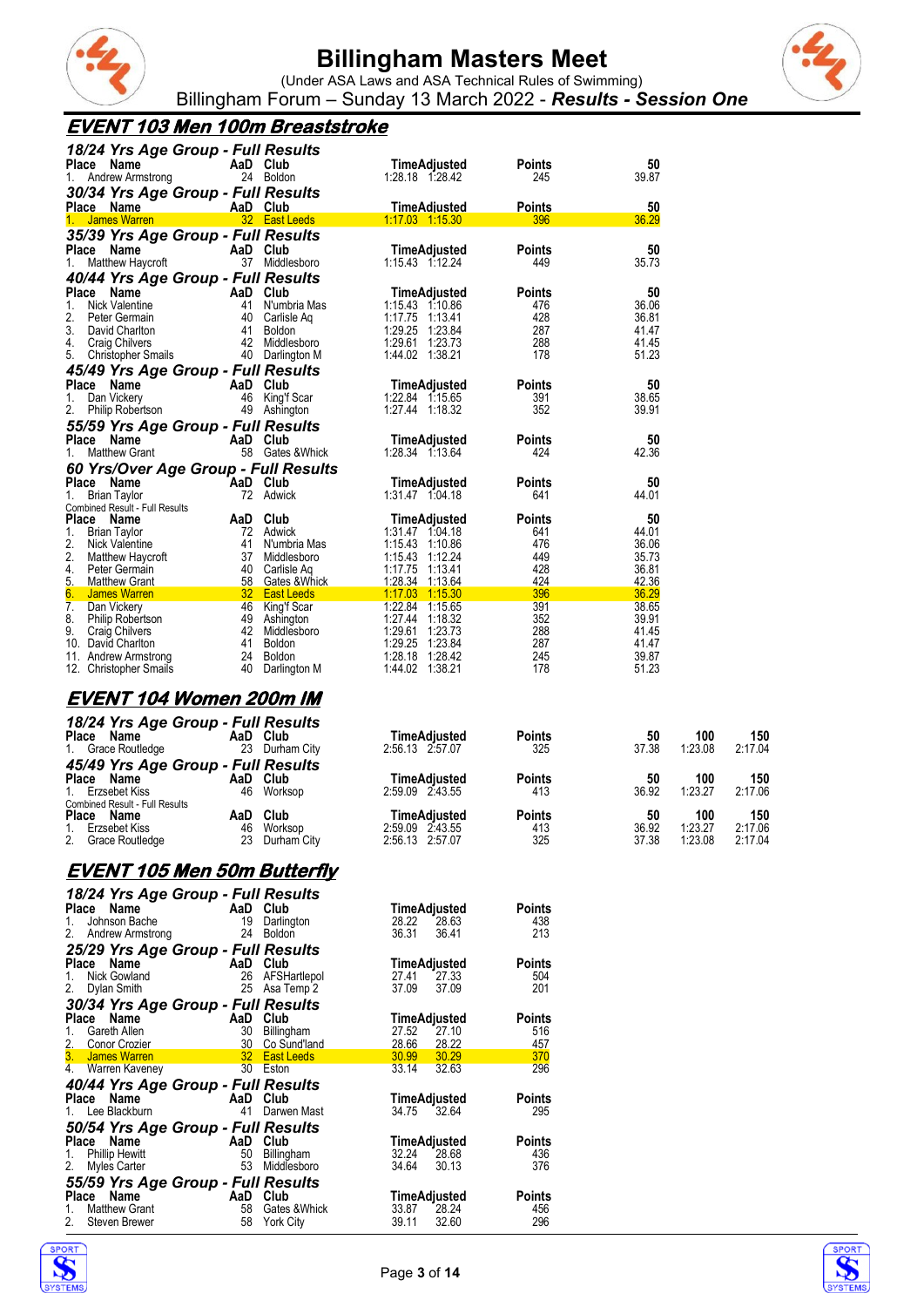

(Under ASA Laws and ASA Technical Rules of Swimming) Billingham Forum – Sunday 13 March 2022 - *Results - Session One*

#### **EVENT 103 Men 100m Breaststroke**

| 18/24 Yrs Age Group - Full Results                    |          |                                          |                                    |                      |                |         |         |
|-------------------------------------------------------|----------|------------------------------------------|------------------------------------|----------------------|----------------|---------|---------|
| Place Name                                            |          | AaD Club                                 | TimeAdjusted                       | <b>Points</b>        | 50             |         |         |
| 1. Andrew Armstrong                                   |          | 24 Boldon                                | 1:28.18 1:28.42                    | 245                  | 39.87          |         |         |
| 30/34 Yrs Age Group - Full Results                    |          |                                          |                                    |                      |                |         |         |
| Place Name<br>1. James Warren                         |          | AaD Club<br>32 East Leeds                | TimeAdiusted<br>1:17.03  1:15.30   | <b>Points</b><br>396 | 50             |         |         |
|                                                       |          |                                          |                                    |                      | 36.29          |         |         |
| 35/39 Yrs Age Group - Full Results<br>Place Name      |          | AaD Club                                 | TimeAdjusted                       | <b>Points</b>        | 50             |         |         |
| Matthew Haycroft<br>1.                                |          | 37 Middlesboro                           | 1:15.43 1:12.24                    | 449                  | 35.73          |         |         |
| 40/44 Yrs Age Group - Full Results                    |          |                                          |                                    |                      |                |         |         |
| Place Name                                            | AaD Club |                                          | TimeAdjusted                       | <b>Points</b>        | 50             |         |         |
| 1.<br>Nick Valentine                                  |          | 41 N'umbria Mas                          | 1:15.43 1:10.86                    | 476                  | 36.06          |         |         |
| 2.<br>Peter Germain                                   |          | 40 Carlisle Aq                           | 1:17.75 1:13.41                    | 428                  | 36.81          |         |         |
| 3.<br>David Charlton                                  |          | 41 Boldon                                | 1:29.25 1:23.84                    | 287                  | 41.47          |         |         |
| 4. Craig Chilvers<br>5. Christopher Smails            |          | 42 Middlesboro<br>40 Darlington M        | 1:29.61 1:23.73<br>1:44.02 1:38.21 | 288<br>178           | 41.45<br>51.23 |         |         |
|                                                       |          |                                          |                                    |                      |                |         |         |
| 45/49 Yrs Age Group - Full Results<br>Place Name      | AaD Club |                                          | TimeAdjusted                       | <b>Points</b>        | 50             |         |         |
| 1.<br>Dan Vickery                                     |          | 46 King'f Scar                           | 1:22.84 1:15.65                    | 391                  | 38.65          |         |         |
| Philip Robertson                                      |          | 49 Ashington                             | 1:27.44 1:18.32                    | 352                  | 39.91          |         |         |
| 55/59 Yrs Age Group - Full Results                    |          |                                          |                                    |                      |                |         |         |
| Place Name                                            |          | AaD Club                                 | <b>TimeAdjusted</b>                | <b>Points</b>        | 50             |         |         |
| <b>Matthew Grant</b><br>1.                            |          | 58 Gates & Whick                         | 1:28.34 1:13.64                    | 424                  | 42.36          |         |         |
| 60 Yrs/Over Age Group - Full Results                  |          |                                          |                                    |                      |                |         |         |
| Place Name                                            | AaD Club |                                          | <b>TimeAdjusted</b>                | <b>Points</b>        | 50             |         |         |
| <b>Brian Taylor</b><br>1.                             |          | 72 Adwick                                | 1:31.47 1:04.18                    | 641                  | 44.01          |         |         |
| <b>Combined Result - Full Results</b>                 |          |                                          |                                    |                      |                |         |         |
| Place Name<br>1.<br><b>Brian Taylor</b>               |          | AaD Club<br>72 Adwick                    | TimeAdjusted<br>1:31.47 1:04.18    | <b>Points</b><br>641 | 50<br>44.01    |         |         |
| 2.<br>Nick Valentine                                  |          | 41 N'umbria Mas                          | 1:15.43 1:10.86                    | 476                  | 36.06          |         |         |
| 2.<br>Matthew Haycroft                                |          | 37 Middlesboro                           | 1:15.43 1:12.24                    | 449                  | 35.73          |         |         |
| 4.<br>Peter Germain                                   |          | 40 Carlisle Aq                           | 1:17.75 1:13.41                    | 428                  | 36.81          |         |         |
| 5. Matthew Grant                                      |          | 58 Gates & Whick                         | 1:28.34 1:13.64                    | 424                  | 42.36          |         |         |
| James Warren<br>6.                                    |          | <b>Example 132 East Leeds East Leeds</b> | 1:17.03 1:15.30                    | 396                  | 36.29          |         |         |
| $\overline{7}$ .<br>Dan Vickery<br>8.                 |          | 46 King'f Scar                           | 1:22.84 1:15.65<br>1:27.44 1:18.32 | 391                  | 38.65<br>39.91 |         |         |
| Philip Robertson<br>9.<br>Craig Chilvers              |          | 49 Ashington<br>42 Middlesboro           | 1:29.61 1:23.73                    | 352<br>288           | 41.45          |         |         |
| 10. David Charlton                                    |          | 41 Boldon                                | 1:29.25 1:23.84                    | 287                  | 41.47          |         |         |
| 11. Andrew Armstrong                                  |          | 24 Boldon                                | 1:28.18 1:28.42                    | 245                  | 39.87          |         |         |
| 12. Christopher Smails                                |          | 40 Darlington M                          | 1:44.02 1:38.21                    | 178                  | 51.23          |         |         |
| EVENT 104 Women 200m IM                               |          |                                          |                                    |                      |                |         |         |
|                                                       |          |                                          |                                    |                      |                |         |         |
| 18/24 Yrs Age Group - Full Results                    |          |                                          |                                    |                      |                |         |         |
| Place Name                                            | AaD Club |                                          | TimeAdjusted                       | <b>Points</b>        | 50             | 100     | 150     |
| 1. Grace Routledge                                    |          | 23 Durham City                           | 2:56.13 2:57.07                    | 325                  | 37.38          | 1:23.08 | 2:17.04 |
| 45/49 Yrs Age Group - Full Results                    |          |                                          |                                    |                      |                |         |         |
| Place Name                                            | AaD Club |                                          | TimeAdjusted                       | <b>Points</b>        | 50             | 100     | 150     |
| Erzsebet Kiss<br>1.<br>Combined Result - Full Results |          | 46 Worksop                               | 2:59.09 2:43.55                    | 413                  | 36.92          | 1:23.27 | 2:17.06 |
| Place Name                                            | AaD Club |                                          | TimeAdjusted                       | Points               | 50             | 100     | 150     |
| 1. Erzsebet Kiss                                      |          | 46 Worksop                               | 2:59.09 2:43.55                    | 413                  | 36.92          | 1:23.27 | 2:17.06 |
| 2. Grace Routledge                                    |          | 23 Durham City                           | 2:56.13 2:57.07                    | 325                  | 37.38          | 1:23.08 | 2:17.04 |

#### **EVENT 105 Men 50m Butterfly**

| 18/24 Yrs Age Group - Full Results      |                |                 |                     |               |
|-----------------------------------------|----------------|-----------------|---------------------|---------------|
| AaD Club<br>Place Name                  |                |                 | TimeAdjusted        | <b>Points</b> |
| Johnson Bache<br>1.                     | 19             | Darlington      | 28.22<br>28.63      | 438           |
| 2. Andrew Armstrong                     |                | 24 Boldon       | 36.31<br>36.41      | 213           |
| 25/29 Yrs Age Group - Full Results      |                |                 |                     |               |
| Place Name                              |                | AaD Club        | TimeAdjusted        | <b>Points</b> |
| 1.<br>Nick Gowland                      |                | 26 AFSHartlepol | 27.41 27.33         | 504           |
| 2. Dylan Smith                          |                | 25 Asa Temp 2   | 37.09<br>37.09      | 201           |
| 30/34 Yrs Age Group - Full Results      |                |                 |                     |               |
| Place Name                              | AaD            | Club            | TimeAdjusted        | <b>Points</b> |
| 1.<br>Gareth Allen                      | 30             | Billingham      | 27.10<br>27.52      | 516           |
| 2. Conor Crozier                        | $\frac{30}{1}$ | Co Sund'land    | 28.66 28.22         | 457           |
| 3. James Warren                         |                | 32 East Leeds   | 30.99 30.29         | 370           |
| 4. Warren Kaveney                       | 30 Eston       |                 | 33.14<br>32.63      | 296           |
| 40/44 Yrs Age Group - Full Results      |                |                 |                     |               |
| Place Name AaD Club                     |                |                 | TimeAdjusted        | <b>Points</b> |
| 1. Lee Blackburn                        | 41             | Darwen Mast     | 34.75<br>32.64      | 295           |
| 50/54 Yrs Age Group - Full Results      |                |                 |                     |               |
| <b>Example 2</b> AaD Club<br>Place Name |                |                 | <b>TimeAdjusted</b> | Points        |
| Phillip Hewitt<br>1.                    | 50             | Billingham      | 32.24<br>28.68      | 436           |
| 2.<br>Myles Carter                      | 53             | Middlesboro     | 34.64<br>30.13      | 376           |
| 55/59 Yrs Age Group - Full Results      |                |                 |                     |               |
| Place Name                              | AaD Club       |                 | TimeAdjusted        | <b>Points</b> |
| <b>Matthew Grant</b><br>1.              | 58             | Gates & Whick   | 33.87<br>28.24      | 456           |
| Steven Brewer<br>2.                     | 58             | York City       | 39.11<br>32.60      | 296           |
|                                         |                |                 |                     |               |





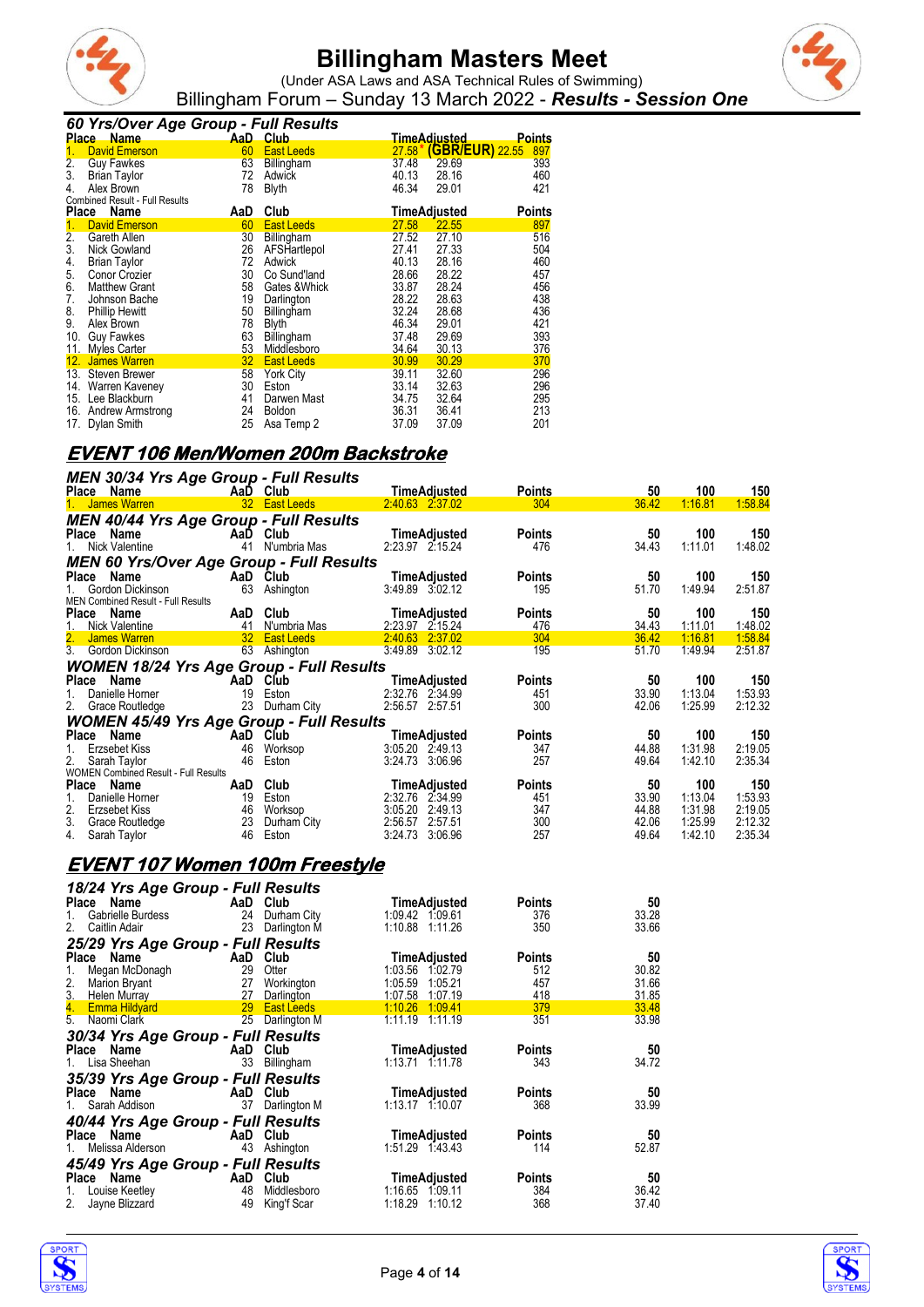



(Under ASA Laws and ASA Technical Rules of Swimming) Billingham Forum – Sunday 13 March 2022 - *Results - Session One*

#### *60 Yrs/Over Age Group - Full Results*

|              | Place Name                     | AaD. | , whi , you will<br>Club |          | <u>TimeAdiusted_</u>   | <b>Points</b> |
|--------------|--------------------------------|------|--------------------------|----------|------------------------|---------------|
| 1.           | David Emerson                  | 60   | <b>East Leeds</b>        | $27.58*$ | <b>(GBR/EUR) 22.55</b> | 897           |
| 2.           | <b>Guy Fawkes</b>              | 63   | <b>Billingham</b>        | 37.48    | 29.69                  | 393           |
| 3.           | <b>Brian Taylor</b>            | 72   | Adwick                   | 40.13    | 28.16                  | 460           |
| 4.           | Alex Brown                     | 78   | <b>Blyth</b>             | 46.34    | 29.01                  | 421           |
|              | Combined Result - Full Results |      |                          |          |                        |               |
| <b>Place</b> | Name                           | AaD  | Club                     |          | TimeAdjusted           | <b>Points</b> |
| 1.           | <b>David Emerson</b>           | 60   | East Leeds               | 27.58    | 22.55                  | 897           |
| 2.           | Gareth Allen                   | 30   | Billingham               | 27.52    | 27.10                  | 516           |
| 3.           | <b>Nick Gowland</b>            | 26   | AFSHartlepol             | 27.41    | 27.33                  | 504           |
| 4.           | <b>Brian Taylor</b>            | 72   | Adwick                   | 40.13    | 28.16                  | 460           |
| 5.           | Conor Crozier                  | 30   | Co Sund'land             | 28.66    | 28.22                  | 457           |
| 6.           | <b>Matthew Grant</b>           | 58   | Gates & Whick            | 33.87    | 28.24                  | 456           |
| 7.           | Johnson Bache                  | 19   | Darlington               | 28.22    | 28.63                  | 438           |
| 8.           | <b>Phillip Hewitt</b>          | 50   | Billingham               | 32.24    | 28.68                  | 436           |
| 9.           | Alex Brown                     | 78   | <b>Blyth</b>             | 46.34    | 29.01                  | 421           |
| 10.          | <b>Guy Fawkes</b>              | 63   | Billingham               | 37.48    | 29.69                  | 393           |
|              | 11. Myles Carter               | 53   | Middlesboro              | 34.64    | 30.13                  | 376           |
| 12.          | <b>James Warren</b>            | 32   | <b>East Leeds</b>        | 30.99    | 30.29                  | 370           |
|              | 13. Steven Brewer              | 58   | York City                | 39.11    | 32.60                  | 296           |
|              | 14. Warren Kaveney             | 30   | Eston                    | 33.14    | 32.63                  | 296           |
|              | 15. Lee Blackburn              | 41   | Darwen Mast              | 34.75    | 32.64                  | 295           |
|              | 16. Andrew Armstrong           | 24   | <b>Boldon</b>            | 36.31    | 36.41                  | 213           |
|              | 17. Dylan Smith                | 25   | Asa Temp 2               | 37.09    | 37.09                  | 201           |

#### **EVENT 106 Men/Women 200m Backstroke**

| MEN 30/34 Yrs Age Group - Full Results<br>Place Name                                                                                              |                         | AaD Club                    |                                    | <b>Points</b>        | 50             | 100                | 150                |
|---------------------------------------------------------------------------------------------------------------------------------------------------|-------------------------|-----------------------------|------------------------------------|----------------------|----------------|--------------------|--------------------|
| 1. James Warren                                                                                                                                   |                         | <b>32 East Leeds</b>        | $2.40.63$ $2.37.02$                | 304                  | 36.42          | 1:16.81            | 1:58.84            |
| <b>MEN 40/44 Yrs Age Group - Full Results</b><br>Place Name<br>1. Nick Valentine                                                                  |                         | AaD Club<br>41 N'umbria Mas | TimeAdjusted<br>2:23.97 2:15.24    | <b>Points</b><br>476 | 50<br>34.43    | 100<br>1:11.01     | 150<br>1:48.02     |
| <b>MEN 60 Yrs/Over Age Group - Full Results</b>                                                                                                   |                         |                             |                                    |                      |                |                    |                    |
| Place Name<br>1.<br>Gordon Dickinson                                                                                                              |                         | AaD Club<br>63 Ashington    | TimeAdjusted<br>3:49.89 3:02.12    | <b>Points</b><br>195 | 50<br>51.70    | 100<br>1:49.94     | 150<br>2:51.87     |
| MEN Combined Result - Full Results<br>Place Name<br>1. Nick Valentine<br>1. Nick Valentine 1. 41 N'umbria Mas<br>2. James Warren 1. 32 East Leeds |                         | AaD Club                    | TimeAdjusted<br>2:23.97 2:15.24    | <b>Points</b><br>476 | 50<br>34.43    | 100<br>1:11.01     | 150<br>1:48.02     |
|                                                                                                                                                   |                         |                             | 2:40.63 2:37.02                    | 304                  | 36.42          | 1:16.81            | 1:58.84            |
| 3. Gordon Dickinson 63 Ashington                                                                                                                  |                         |                             | 3:49.89 3:02.12                    | 195                  | 51.70          | 1:49.94            | 2:51.87            |
| <b>WOMEN 18/24 Yrs Age Group - Full Results</b>                                                                                                   |                         |                             |                                    |                      |                |                    |                    |
| Place Name                                                                                                                                        | AaD Club                |                             | TimeAdjusted                       | <b>Points</b>        | 50             | 100                | 150                |
| 1.<br>Danielle Horner                                                                                                                             |                         | 19 Eston                    | 2:32.76 2:34.99                    | 451                  | 33.90          | 1:13.04            | 1:53.93            |
| 2.<br>Grace Routledge                                                                                                                             |                         | 23 Durham City              | 2:56.57 2:57.51                    | 300                  | 42.06          | 1:25.99            | 2:12.32            |
| <b>WOMEN 45/49 Yrs Age Group - Full Results</b>                                                                                                   |                         |                             |                                    |                      |                |                    |                    |
| Place Name                                                                                                                                        | $\overline{A}$ AaD Club |                             | TimeAdjusted                       | <b>Points</b>        | 50             | 100                | 150                |
| 1. Erzsebet Kiss                                                                                                                                  |                         | 46 Worksop                  | 3:05.20 2:49.13                    | 347                  | 44.88          | 1:31.98            | 2:19.05            |
| 2.<br>Sarah Taylor                                                                                                                                |                         | 46 Eston                    | 3:24.73 3:06.96                    | 257                  | 49.64          | 1:42.10            | 2:35.34            |
| <b>WOMEN Combined Result - Full Results</b>                                                                                                       |                         |                             |                                    |                      |                |                    |                    |
| Place Name                                                                                                                                        |                         | AaD Club                    | TimeAdjusted                       | <b>Points</b>        | 50             | 100                | 150                |
| 1.<br>Danielle Horner<br>2. Erzsebet Kiss                                                                                                         |                         | 19 Eston<br>46 Worksop      | 2:32.76 2:34.99<br>3:05.20 2:49.13 | 451<br>347           | 33.90<br>44.88 | 1:13.04<br>1:31.98 | 1:53.93<br>2:19.05 |
|                                                                                                                                                   |                         | 23 Durham City              | 2:56.57 2:57.51                    | 300                  | 42.06          | 1:25.99            | 2:12.32            |
| 3. Grace Routledge<br>4. Sarah Taylor                                                                                                             |                         | 46 Eston                    | 3:24.73 3:06.96                    | 257                  | 49.64          | 1:42.10            | 2:35.34            |
| <u>EVENT 107 Women 100m Freestyle</u>                                                                                                             |                         |                             |                                    |                      |                |                    |                    |
| 18/24 Yrs Age Group - Full Results                                                                                                                |                         |                             |                                    |                      |                |                    |                    |
| Place Name                                                                                                                                        |                         | AaD Club                    | TimeAdjusted                       | <b>Points</b>        | 50             |                    |                    |
| 1.<br>Gabrielle Burdess                                                                                                                           |                         | 24 Durham City              | 1:09.42 1:09.61                    | 376                  | 33.28          |                    |                    |
| Caitlin Adair                                                                                                                                     |                         | 23 Darlington M             | 1:10.88 1:11.26                    | 350                  | 33.66          |                    |                    |
| 25/29 Yrs Age Group - Full Results                                                                                                                |                         |                             |                                    |                      |                |                    |                    |
| Place Name                                                                                                                                        |                         | AaD Club                    | TimeAdjusted                       | <b>Points</b>        | 50             |                    |                    |
|                                                                                                                                                   |                         |                             | 1:03.56 1:02.79                    | 512                  | 30.82          |                    |                    |
|                                                                                                                                                   |                         |                             | 1:05.59 1:05.21                    | 457                  | 31.66          |                    |                    |
|                                                                                                                                                   |                         |                             | 1:07.58 1:07.19                    | 418                  | 31.85          |                    |                    |
|                                                                                                                                                   |                         |                             | 1.10.26 1.09.41                    | 379                  | 33.48          |                    |                    |
|                                                                                                                                                   |                         |                             | 1:11.19 1:11.19                    | 351                  | 33.98          |                    |                    |
| 30/34 Yrs Age Group - Full Results<br>Place Name<br>1. Lisa Sheehan                                                                               |                         | AaD Club<br>33 Billingham   | TimeAdjusted<br>1:13.71 1:11.78    | <b>Points</b><br>343 | 50<br>34.72    |                    |                    |
| 35/39 Yrs Age Group - Full Results                                                                                                                |                         |                             |                                    |                      |                |                    |                    |
| Place Name<br>Sarah Addison<br>1.                                                                                                                 |                         | AaD Club<br>37 Darlington M | TimeAdjusted<br>1:13.17 1:10.07    | <b>Points</b><br>368 | 50<br>33.99    |                    |                    |



*40/44 Yrs Age Group - Full Results*

*45/49 Yrs Age Group - Full Results*

**Place Name Aarly 2011 Aarly 2012 Additional Aarly 2014**<br>1. Melissa Alderson 43 Ashington 1:51.29 1:43.43 114 52.87 1. Melissa Alderson 43 Ashington 1:51.29 1:43.43 114 52.87

**Place Name AaD Club TimeAdjusted Points 50** 1. Louise Keetley 48 Middlesboro 1:16.65 1:09.11 384 36.42 2. Jayne Blizzard 49 King'f Scar 1:18.29 1:10.12 368 37.40

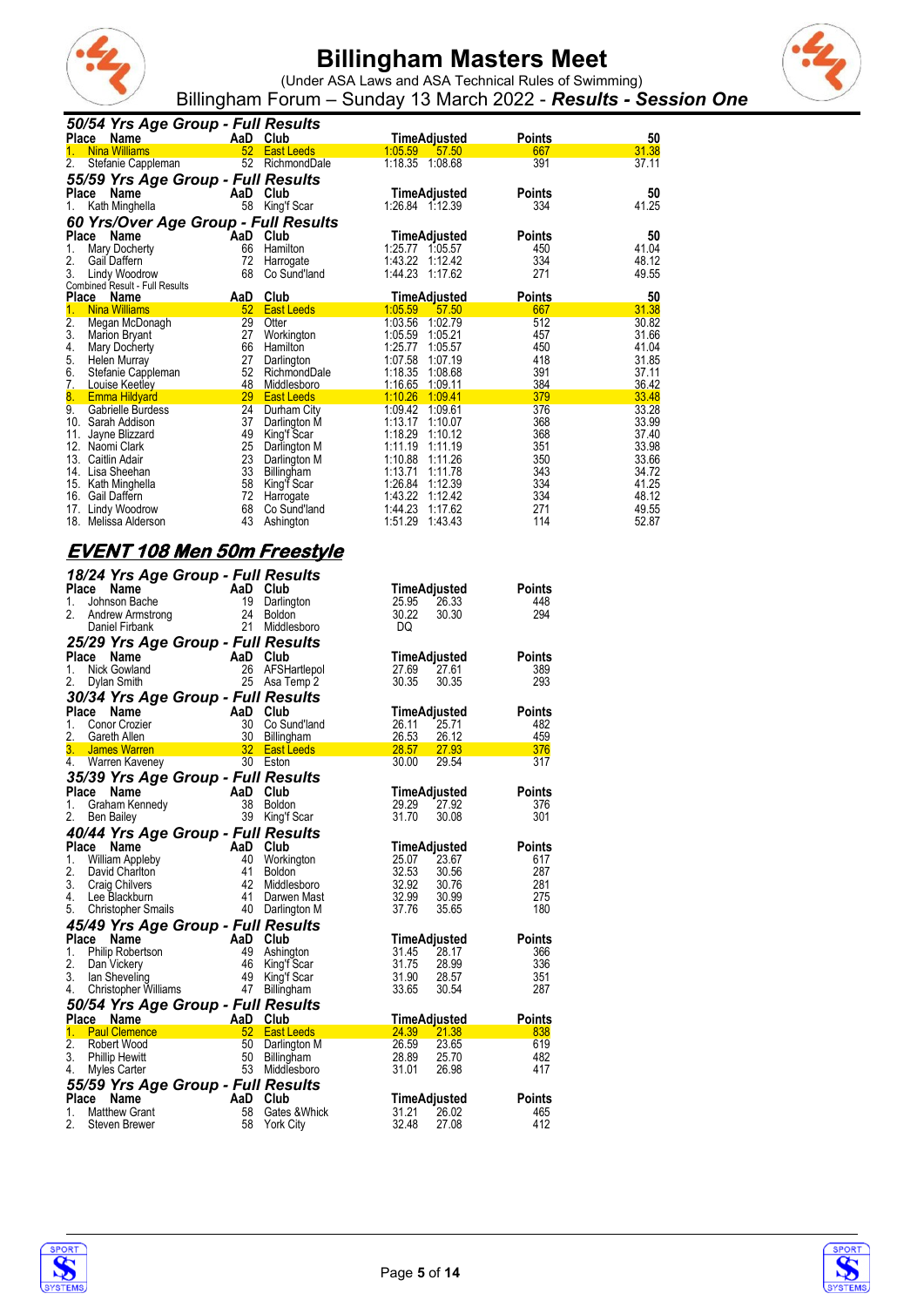



(Under ASA Laws and ASA Technical Rules of Swimming) Billingham Forum – Sunday 13 March 2022 - *Results - Session One*

|                  | 50/54 Yrs Age Group - Full Results                     |                 |                   |                 |                     |               |             |
|------------------|--------------------------------------------------------|-----------------|-------------------|-----------------|---------------------|---------------|-------------|
| Place            | Name                                                   |                 | AaD Club          |                 | <b>TimeAdjusted</b> | <b>Points</b> | 50          |
| 1.               | <b>Nina Williams</b>                                   | 52 <sub>2</sub> | <b>East Leeds</b> | 1:05.59         | 57.50               | 667           | 31.38       |
| 2.               | Stefanie Cappleman                                     | 52              | RichmondDale      | 1:18.35 1:08.68 |                     | 391           | 37.11       |
|                  | 55/59 Yrs Age Group - Full Results                     |                 |                   |                 |                     |               |             |
| Place            | Name                                                   | AaD Club        |                   |                 | TimeAdjusted        | <b>Points</b> | 50          |
| 1.               | Kath Minghella                                         | 58              | King'f Scar       | 1:26.84 1:12.39 |                     | 334           | 41.25       |
|                  |                                                        |                 |                   |                 |                     |               |             |
|                  | 60 Yrs/Over Age Group - Full Results                   |                 | Club              |                 |                     |               |             |
| Place<br>1.      | Name                                                   | AaD<br>66       | Hamilton          | 1:25.77         | TimeAdjusted        | <b>Points</b> | 50<br>41.04 |
|                  | Mary Docherty                                          |                 |                   |                 | 1:05.57             | 450           |             |
| 2.               | Gail Daffern                                           | 72              | Harrogate         | 1:43.22         | 1:12.42             | 334           | 48.12       |
| 3.               | Lindy Woodrow                                          | 68              | Co Sund'land      | 1:44.23 1:17.62 |                     | 271           | 49.55       |
|                  | Combined Result - Full Results<br>Place<br><b>Name</b> | AaD             | Club              |                 | <b>TimeAdjusted</b> | <b>Points</b> | 50          |
| 1.               | <b>Nina Williams</b>                                   | 52              | <b>East Leeds</b> | 1:05.59         | 57.50               | 667           | 31.38       |
| $\overline{2}$ . | Megan McDonagh                                         | 29              | Otter             | 1:03.56         | 1:02.79             | 512           | 30.82       |
| 3.               | Marion Bryant                                          | 27              | Workington        | 1:05.59         | 1:05.21             | 457           | 31.66       |
| 4.               | Mary Docherty                                          | 66              | Hamilton          | 1:25.77         | 1:05.57             | 450           | 41.04       |
| 5.               | Helen Murray                                           | 27              | Darlington        | 1:07.58         | 1:07.19             | 418           | 31.85       |
| 6.               | Stefanie Cappleman                                     | 52              | RichmondDale      | 1:18.35         | 1:08.68             | 391           | 37.11       |
| 7.               | Louise Keetley                                         | 48              | Middlesboro       | 1:16.65         | 1:09.11             | 384           | 36.42       |
| 8.               | <b>Emma Hildyard</b>                                   | 29              | <b>East Leeds</b> | 1:10.26         | 1:09.41             | 379           | 33.48       |
| 9.               | Gabrielle Burdess                                      | 24              | Durham City       | 1:09.42         | 1:09.61             | 376           | 33.28       |
| 10.              | Sarah Addison                                          | 37              | Darlington M      | 1:13.17         | 1:10.07             | 368           | 33.99       |
| 11.              | Jayne Blizzard                                         | 49              | King'f Scar       | 1:18.29         | 1:10.12             | 368           | 37.40       |
| 12.              | Naomi Clark                                            | 25              | Darlington M      | 1:11.19         | 1:11.19             | 351           | 33.98       |
| 13.              | Caitlin Adair                                          | 23              | Darlington M      | 1:10.88         | 1:11.26             | 350           | 33.66       |
| 14.              | Lisa Sheehan                                           | 33              | Billingham        | 1:13.71         | 1:11.78             | 343           | 34.72       |
| 15.              | Kath Minghella                                         | 58              | King'f Scar       | 1:26.84         | 1:12.39             | 334           | 41.25       |
| 16.              | Gail Daffern                                           | 72              | Harrogate         | 1:43.22         | 1:12.42             | 334           | 48.12       |
| 17.              | Lindy Woodrow                                          | 68              | Co Sund'land      | 1:44.23         | 1:17.62             | 271           | 49.55       |
| 18.              | Melissa Alderson                                       | 43              | Ashington         | 1:51.29         | 1:43.43             | 114           | 52.87       |

#### **EVENT 108 Men 50m Freestyle** *18/24 Yrs Age Group - Full Results*

| <b>10/24 113 Age Group - Full Nesults</b><br>Place Name<br>1.<br>Johnson Bache<br>2.<br>Andrew Armstrong<br>Daniel Firbank                                                                                                                                                                                                                                                                                                                                                                                  |                                 | AaD Club<br>19 Darlington<br>24 Boldon<br>21 Middle<br>Middlesboro        | TimeAdjusted<br>25.95<br>30.22<br>DQ                                  | 26.33<br>30.30                   | <b>Points</b><br>448<br>294                      |
|-------------------------------------------------------------------------------------------------------------------------------------------------------------------------------------------------------------------------------------------------------------------------------------------------------------------------------------------------------------------------------------------------------------------------------------------------------------------------------------------------------------|---------------------------------|---------------------------------------------------------------------------|-----------------------------------------------------------------------|----------------------------------|--------------------------------------------------|
| 25/29 Yrs Age Group - Full Results<br>Place Name<br>1.<br>Nick Gowland<br>2.<br>Dylan Smith                                                                                                                                                                                                                                                                                                                                                                                                                 | AaD Club<br>26                  | AFSHartlepol<br>25 Asa Temp 2                                             | TimeAdjusted<br>27.69<br>30.35                                        | 27.61<br>30.35                   | <b>Points</b><br>389<br>293                      |
| 30/34 Yrs Age Group - Full Results<br>Place Name<br>$\begin{array}{r}\n\text{AaD} \quad \text{Club} \\ 30 \quad \text{Co Su} \\ 30 \quad \text{Bill} \\ \hline\n32 \quad \text{East} \\ \hline\n\end{array}$<br>1. Conor Crozier<br>2.<br>Gareth Allen<br>3.<br>James Warren<br>4. Warren Kaveney                                                                                                                                                                                                           |                                 | Co Sund'land<br><b>Billingham</b><br><b>East Leeds</b><br>30 Eston        | TimeAdjusted<br>26.11<br>26.53 26.12<br>28.57 27.93<br>30.00          | 25.71<br>29.54                   | <b>Points</b><br>482<br>459<br>376<br>317        |
| 35/39 Yrs Age Group - Full Results<br>Place Name<br>Ce Name<br>Graham Kennedy<br>38 Boldor<br>1.<br>2.<br>Ben Bailey                                                                                                                                                                                                                                                                                                                                                                                        | 39                              | Boldon<br>King'f Scar                                                     | TimeAdjusted<br>29.29<br>31.70                                        | 27.92<br>30.08                   | <b>Points</b><br>376<br>301                      |
| 40/44 Yrs Age Group - Full Results<br>Place<br>Name<br>AaD Club<br>1.<br>William Appleby<br>2.<br>David Charlton<br>3.<br>Craig Chilvers<br>4.<br>Lee Blackburn<br>5.<br><b>Christopher Smails</b>                                                                                                                                                                                                                                                                                                          | 40<br>- 41<br>42<br>41<br>40    | Workington<br><b>Boldon</b><br>Middlesboro<br>Darwen Mast<br>Darlington M | TimeAdjusted<br>25.07<br>32.53<br>32.92 30.76<br>32.99 30.99<br>37.76 | 23.67<br>30.56<br>35.65          | <b>Points</b><br>617<br>287<br>281<br>275<br>180 |
| 45/49 Yrs Age Group - Full Results<br>Place<br>Name<br>1.<br>Philip Robertson<br>2.<br>Dan Vickery<br>3.<br>lan Sheveling<br>4.<br>Christopher Williams                                                                                                                                                                                                                                                                                                                                                     | AaD<br>49<br>- 46<br>- 49<br>47 | Club<br>Ashington<br>King'f Scar<br>King'f Scar<br>Billingham             | TimeAdjusted<br>31.45<br>31.75<br>31.90<br>33.65                      | 28.17<br>28.99<br>28.57<br>30.54 | <b>Points</b><br>366<br>336<br>351<br>287        |
| 50/54 Yrs Age Group - Full Results<br>Place Name<br>1. Paul Clemence<br>$\frac{1}{2}$ $\frac{1}{2}$ $\frac{1}{2}$ $\frac{1}{2}$ $\frac{1}{2}$ $\frac{1}{2}$ $\frac{1}{2}$ $\frac{1}{2}$ $\frac{1}{2}$ $\frac{1}{2}$ $\frac{1}{2}$ $\frac{1}{2}$ $\frac{1}{2}$ $\frac{1}{2}$ $\frac{1}{2}$ $\frac{1}{2}$ $\frac{1}{2}$ $\frac{1}{2}$ $\frac{1}{2}$ $\frac{1}{2}$ $\frac{1}{2}$ $\frac{1}{2}$<br>2.<br>Robert Wood<br>3.<br><b>Phillip Hewitt</b><br>4.<br>Myles Carter<br>55/59 Yrs Age Group - Full Results | AaD Club<br>50<br>50            | <b>East Leeds</b><br>Darlington M<br>Billingham<br>53 Middlesboro         | <b>TimeAdjusted</b><br>24.39<br>26.59<br>28.89<br>31.01               | 21.38<br>23.65<br>25.70<br>26.98 | <b>Points</b><br>838<br>619<br>482<br>417        |
| Place Name<br>1.<br><b>Matthew Grant</b><br>2.<br>Steven Brewer                                                                                                                                                                                                                                                                                                                                                                                                                                             | AaD Club<br>58<br>58            | Gates & Whick<br>York City                                                | TimeAdjusted<br>31.21<br>32.48                                        | 26.02<br>27.08                   | <b>Points</b><br>465<br>412                      |



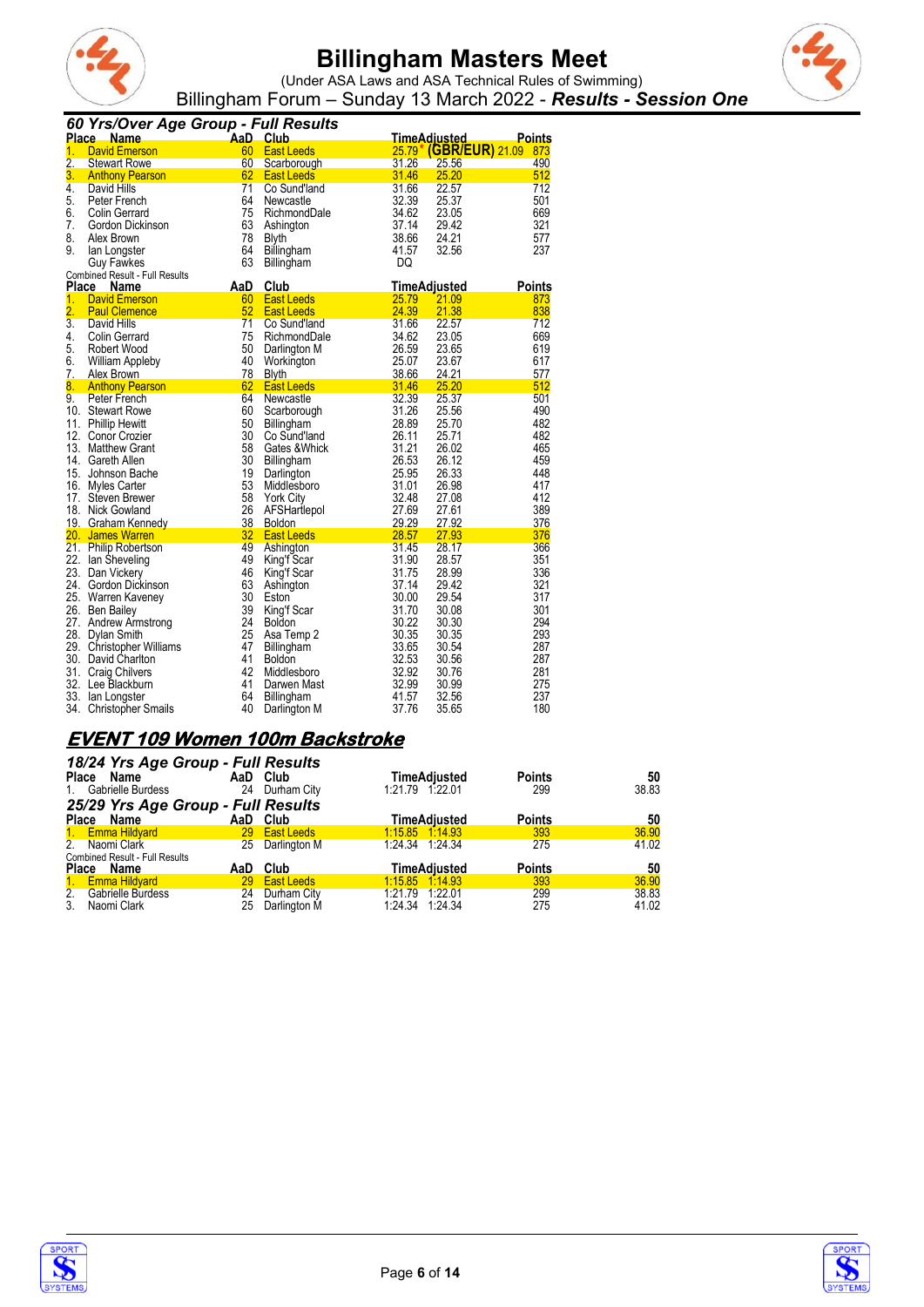



(Under ASA Laws and ASA Technical Rules of Swimming) Billingham Forum – Sunday 13 March 2022 - *Results - Session One*

|                      | 60 Yrs/Over Age Group - Full Results                                                                                                           |                           |                                    |                |                     |               |
|----------------------|------------------------------------------------------------------------------------------------------------------------------------------------|---------------------------|------------------------------------|----------------|---------------------|---------------|
|                      | <b>Place Name</b>                                                                                                                              | <b>Example 1</b> AaD Club |                                    |                | <b>TimeAdiusted</b> | Points        |
| 1.                   | <b>David Emerson</b>                                                                                                                           | 60                        | <b>East Leeds</b>                  | 25.79          | (GBR/EUR) 21.09     | 873           |
| $\overline{2}$ .     | <b>Stewart Rowe</b>                                                                                                                            | 60                        | Scarborough                        | 31.26          | 25.56               | 490           |
| 3.                   | <b>Anthony Pearson</b><br><b>Contract Contract Contract Contract Contract Contract Contract Contract Contract Contract Contract Contract C</b> | 62                        | East Leeds                         | 31.46          | 25.20               | 512           |
| 4.                   | David Hills                                                                                                                                    | 71                        | Co Sund'land                       | 31.66          | 22.57               | 712           |
| 5.                   | Peter French                                                                                                                                   | 64                        | Newcastle                          | 32.39          | 25.37               | 501           |
| 6.                   | <b>Colin Gerrard</b>                                                                                                                           | 75                        | RichmondDale                       | 34.62          | 23.05               | 669           |
| 7.                   | Gordon Dickinson                                                                                                                               | 63                        | Ashington                          | 37.14          | 29.42               | 321           |
| 8.                   | Alex Brown                                                                                                                                     | 78                        | <b>Blyth</b>                       | 38.66          | 24.21               | 577           |
| 9.                   | lan Longster                                                                                                                                   | 64                        | Billingham                         | 41.57          | 32.56               | 237           |
|                      | <b>Guy Fawkes</b>                                                                                                                              | 63                        | Billingham                         | DQ             |                     |               |
| Place                | <b>Combined Result - Full Results</b><br>Name                                                                                                  | AaD                       | Club                               |                | TimeAdjusted        | <b>Points</b> |
| 1.                   | <b>David Emerson</b>                                                                                                                           | 60                        | <b>East Leeds</b>                  | 25.79          | 21.09               | 873           |
| $\overline{2}$ .     | <b>Paul Clemence</b>                                                                                                                           | 52                        | <b>East Leeds</b>                  | 24.39          | 21.38               | 838           |
| $\overline{3}$ .     | David Hills                                                                                                                                    | 71                        | Co Sund'land                       | 31.66          | 22.57               | 712           |
| 4.                   | <b>Colin Gerrard</b>                                                                                                                           | 75                        | RichmondDale                       | 34.62          | 23.05               | 669           |
| 5.                   | Robert Wood                                                                                                                                    | 50                        | Darlington M                       | 26.59          | 23.65               | 619           |
| 6.                   | <b>William Appleby</b>                                                                                                                         | 40                        | Workington                         | 25.07          | 23.67               | 617           |
| 7.                   | Alex Brown                                                                                                                                     | 78                        | <b>Blyth</b>                       | 38.66          | 24.21               | 577           |
| $\overline{\bf 8}$ . | <b>Anthony Pearson</b>                                                                                                                         | 62                        | East Leeds                         | 31.46          | 25.20               | 512           |
| 9.                   | Peter French                                                                                                                                   | 64                        | Newcastle                          | 32.39          | 25.37               | 501           |
|                      | 10. Stewart Rowe                                                                                                                               | 60                        | Scarborough                        | 31.26          | 25.56               | 490           |
| 11.                  | <b>Phillip Hewitt</b>                                                                                                                          | 50                        | Billingham                         | 28.89          | 25.70               | 482           |
|                      | 12. Conor Crozier                                                                                                                              | 30                        | Co Sund'land                       | 26.11          | 25.71               | 482           |
|                      | 13. Matthew Grant                                                                                                                              | 58                        | Gates & Whick                      | 31.21          | 26.02               | 465           |
|                      | 14. Gareth Allen                                                                                                                               | 30                        | Billingham                         | 26.53          | 26.12               | 459           |
|                      | 15. Johnson Bache                                                                                                                              | 19                        | Darlington                         | 25.95          | 26.33               | 448           |
|                      | 16. Myles Carter                                                                                                                               | 53                        | Middlesboro                        | 31.01          | 26.98               | 417           |
|                      | 17. Steven Brewer                                                                                                                              | 58                        | <b>York City</b>                   | 32.48          | 27.08               | 412           |
|                      | 18. Nick Gowland                                                                                                                               | 26                        | AFSHartlepol                       | 27.69          | 27.61               | 389           |
|                      | 19. Graham Kennedy<br>20. James Warren                                                                                                         | 38<br>32                  | <b>Boldon</b><br><b>East Leeds</b> | 29.29<br>28.57 | 27.92<br>27.93      | 376<br>376    |
|                      | 21. Philip Robertson                                                                                                                           | 49                        | Ashington                          | 31.45          | 28.17               | 366           |
|                      | 22. Ian Sheveling                                                                                                                              | 49                        | King'f Scar                        | 31.90          | 28.57               | 351           |
|                      | 23. Dan Vickery                                                                                                                                | 46                        | King'f Scar                        | 31.75          | 28.99               | 336           |
|                      | 24. Gordon Dickinson                                                                                                                           | 63                        | Ashington                          | 37.14          | 29.42               | 321           |
|                      | 25. Warren Kaveney                                                                                                                             | 30                        | Eston                              | 30.00          | 29.54               | 317           |
|                      | 26. Ben Bailey                                                                                                                                 | 39                        | King'f Scar                        | 31.70          | 30.08               | 301           |
|                      | 27. Andrew Armstrong                                                                                                                           | 24                        | <b>Boldon</b>                      | 30.22          | 30.30               | 294           |
|                      | 28. Dylan Smith                                                                                                                                | 25                        | Asa Temp 2                         | 30.35          | 30.35               | 293           |
|                      | 29. Christopher Williams                                                                                                                       | 47                        | Billingham                         | 33.65          | 30.54               | 287           |
|                      | 30. David Charlton                                                                                                                             | 41                        | <b>Boldon</b>                      | 32.53          | 30.56               | 287           |
|                      | 31. Craig Chilvers                                                                                                                             | 42                        | Middlesboro                        | 32.92          | 30.76               | 281           |
|                      | 32. Lee Blackburn                                                                                                                              | 41                        | Darwen Mast                        | 32.99          | 30.99               | 275           |
|                      | 33. Ian Longster                                                                                                                               | 64                        | Billingham                         | 41.57          | 32.56               | 237           |
| 34.                  | <b>Christopher Smails</b>                                                                                                                      | 40                        | Darlington M                       | 37.76          | 35.65               | 180           |

### **EVENT 109 Women 100m Backstroke**

| 18/24 Yrs Age Group - Full Results    |    |                 |                     |               |       |
|---------------------------------------|----|-----------------|---------------------|---------------|-------|
| Place Name                            |    | AaD Club        | <b>TimeAdjusted</b> | <b>Points</b> | 50    |
| Gabrielle Burdess<br>$1_{\cdot}$      | 24 | Durham City     | 1:21.79 1:22.01     | 299           | 38.83 |
| 25/29 Yrs Age Group - Full Results    |    |                 |                     |               |       |
| Place Name                            |    | AaD Club        | <b>TimeAdiusted</b> | <b>Points</b> | 50    |
| 1. Emma Hildvard                      |    | 29 East Leeds   | 1.15.85 1.14.93     | 393           | 36.90 |
| 2. Naomi Clark                        |    | 25 Darlington M | 1:24.34 1:24.34     | 275           | 41.02 |
| <b>Combined Result - Full Results</b> |    |                 |                     |               |       |
| Place Name                            |    | AaD Club        | <b>TimeAdiusted</b> | <b>Points</b> | 50    |
| 1. Emma Hildyard                      |    | 29 East Leeds   | 1.15.85 1.14.93     | 393           | 36.90 |
| 2. Gabrielle Burdess                  | 24 | Durham City     | 1:21.79 1:22.01     | 299           | 38.83 |
| 3 <sub>1</sub><br>Naomi Clark         | 25 | Darlington M    | 1:24.34 1:24.34     | 275           | 41.02 |



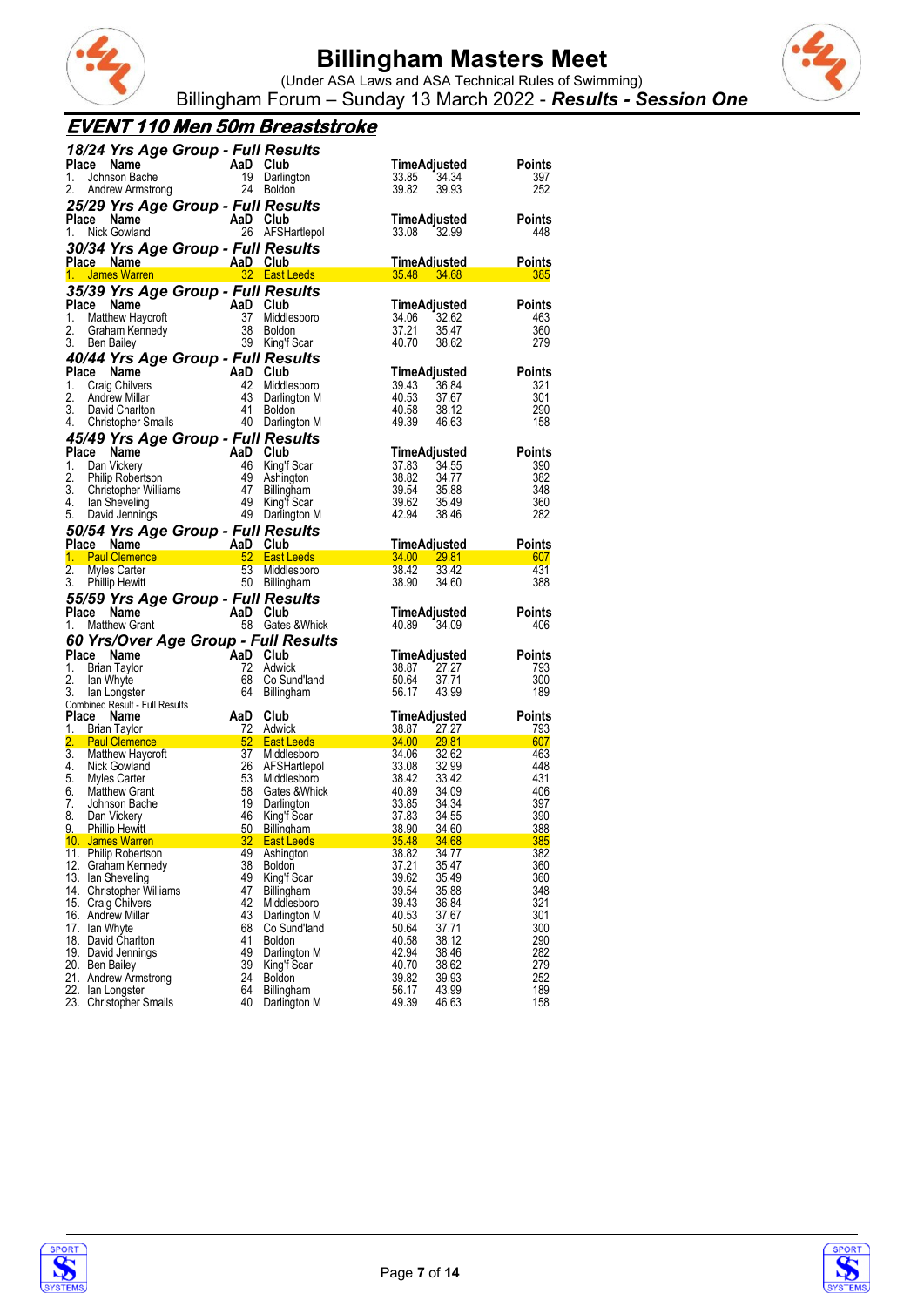



(Under ASA Laws and ASA Technical Rules of Swimming) Billingham Forum – Sunday 13 March 2022 - *Results - Session One*

#### **EVENT 110 Men 50m Breaststroke**

|          | 18/24 Yrs Age Group - Full Results                                                                                                                                                                                                    |          |                                                                       |                            |                                             |               |
|----------|---------------------------------------------------------------------------------------------------------------------------------------------------------------------------------------------------------------------------------------|----------|-----------------------------------------------------------------------|----------------------------|---------------------------------------------|---------------|
| Place    | Name                                                                                                                                                                                                                                  |          | AaD Club<br>19 Darlington<br>19 24 Boldon                             | TimeAdjusted               |                                             | Points        |
| 1.       | Johnson Bache                                                                                                                                                                                                                         |          |                                                                       | 33.85                      | 34.34                                       | 397           |
| 2.       | Andrew Armstrong                                                                                                                                                                                                                      |          |                                                                       | 39.82                      | 39.93                                       | 252           |
|          | 25/29 Yrs Age Group - Full Results                                                                                                                                                                                                    |          |                                                                       |                            |                                             |               |
|          | $\begin{array}{cc}\n\text{AaD} & \text{Club} \\ 26 & \text{AFSH}\n\end{array}$<br>Place Name                                                                                                                                          |          |                                                                       | TimeAdjusted               |                                             | <b>Points</b> |
| 1.       | Nick Gowland                                                                                                                                                                                                                          |          | 26 AFSHartlepol                                                       | 33.08 32.99                |                                             | 448           |
|          | 30/34 Yrs Age Group - Full Results                                                                                                                                                                                                    |          |                                                                       |                            |                                             |               |
|          | Place Name<br>AaD Club<br>32 East Leeds                                                                                                                                                                                               |          |                                                                       | TimeAdjusted               |                                             | <b>Points</b> |
|          | 1. James Warren                                                                                                                                                                                                                       |          |                                                                       | 35.48 34.68                |                                             | 385           |
|          | 35/39 Yrs Age Group - Full Results                                                                                                                                                                                                    |          |                                                                       |                            |                                             |               |
| Place    | Compared to the Marine Company of the Marine Company<br>Matthew Haycroft 37 Middle<br>Graham Kennedy 38 Boldon<br>Ben Bailey 39 King'f                                                                                                |          |                                                                       |                            | TimeAdjusted                                | Points        |
| 1.       |                                                                                                                                                                                                                                       |          | 37 Middlesboro                                                        | 34.06                      | 32.62                                       | 463           |
| 2.<br>3. |                                                                                                                                                                                                                                       |          | 38 Boldon<br>39 King'f Scar                                           | 37.21<br>40.70             | 35.47<br>38.62                              | 360<br>279    |
|          | Ben Bailey                                                                                                                                                                                                                            |          |                                                                       |                            |                                             |               |
|          | 40/44 Yrs Age Group - Full Results                                                                                                                                                                                                    |          |                                                                       |                            |                                             |               |
|          | Place Name                                                                                                                                                                                                                            |          |                                                                       |                            | TimeAdjusted                                | <b>Points</b> |
| 1.<br>2. |                                                                                                                                                                                                                                       |          |                                                                       | 39.43                      | 36.84<br>37.67                              | 321<br>301    |
| 3.       |                                                                                                                                                                                                                                       |          |                                                                       | 40.53<br>40.58             | 38.12                                       | 290           |
| 4.       | Channel Manne Mannel Mannel Mannel Mannel Mannel Mannel Mannel Mannel Mannel Mannel Mannel Mannel Mannel Manne<br>Craig Chilvers 42 Middlesboro<br>Andrew Millar 43 Darlington M<br>David Charlton 41 Boldon<br>Christopher Smails 40 |          |                                                                       | 49.39 46.63                |                                             | 158           |
|          | 45/49 Yrs Age Group - Full Results                                                                                                                                                                                                    |          |                                                                       |                            |                                             |               |
|          | Place Name<br>Cally Many Care Care Many Capital City<br>Can Vickery<br>Dan Vickery<br>Christopher Williams<br>In Sheveling 49 King'f Scar<br>David Jennings 49 King'f Scar<br>David Jennings 49 King'f Scar<br>Darlington M           |          |                                                                       |                            | TimeAdjusted                                | <b>Points</b> |
| 1.       |                                                                                                                                                                                                                                       |          |                                                                       | 37.83                      | 34.55                                       | 390           |
| 2.       |                                                                                                                                                                                                                                       |          |                                                                       | 38.82                      | 34.77                                       | 382           |
| 3.       |                                                                                                                                                                                                                                       |          |                                                                       | 39.54<br>39.62             | 35.88                                       | 348           |
|          | 4. Ian Sheveling                                                                                                                                                                                                                      |          |                                                                       |                            | 35.49                                       | 360           |
| 5.       |                                                                                                                                                                                                                                       |          |                                                                       | 42.94                      | 38.46                                       | 282           |
|          | 50/54 Yrs Age Group - Full Results                                                                                                                                                                                                    |          |                                                                       |                            |                                             |               |
|          | Place Name<br>1. Paul Clemence <b>1. Community 1. Paul Clemence</b>                                                                                                                                                                   |          |                                                                       | <u>TimeAdiusted</u>        |                                             | <b>Points</b> |
|          |                                                                                                                                                                                                                                       |          |                                                                       |                            | $34.00$ $29.81$                             | 607           |
| 2.       | Myles Carter                                                                                                                                                                                                                          |          | 53 Middlesboro                                                        | 38.42                      | 33.42                                       | 431           |
|          |                                                                                                                                                                                                                                       |          |                                                                       |                            |                                             |               |
| 3.       | 53 Middlesbor<br>50 Billingham<br><b>Phillip Hewitt</b>                                                                                                                                                                               |          |                                                                       | 38.90                      | 34.60                                       | 388           |
|          | 55/59 Yrs Age Group - Full Results                                                                                                                                                                                                    |          |                                                                       |                            |                                             |               |
|          | Place Name                                                                                                                                                                                                                            |          |                                                                       |                            | TimeAdjusted                                | <b>Points</b> |
| 1.       | $\overline{A} \overline{B} \overline{C} \overline{C} \overline{C}$<br><b>Matthew Grant</b>                                                                                                                                            |          | 58 Gates & Whick                                                      | 40.89 34.09                |                                             | 406           |
|          | 60 Yrs/Over Age Group - Full Results                                                                                                                                                                                                  |          |                                                                       |                            |                                             |               |
|          | Place Name                                                                                                                                                                                                                            |          |                                                                       | TimeAdjusted               |                                             | <b>Points</b> |
| 1.       | AaD Club<br>72 Adwid<br>Brian Taylor                                                                                                                                                                                                  |          | 72 Adwick                                                             | 38.87                      | 27.27                                       | 793           |
| 2.       | lan Whyte                                                                                                                                                                                                                             | 68       | Co Sund'land                                                          | 50.64                      | 37.71                                       | 300           |
| 3.       | lan Longster<br>Combined Result - Full Results                                                                                                                                                                                        |          | 64 Billingham                                                         | 56.17                      | 43.99                                       | 189           |
|          | Place Name                                                                                                                                                                                                                            |          | Club                                                                  | TimeAdjusted               |                                             | <b>Points</b> |
| 1.       | <b>Brian Taylor</b>                                                                                                                                                                                                                   | AaD      |                                                                       | 38.87 27.27                |                                             | <u>793</u>    |
| 2.       | <b>Paul Clemence</b>                                                                                                                                                                                                                  |          |                                                                       |                            | $\frac{34.00}{24.06}$ $\frac{29.81}{20.06}$ | 607           |
| 3.       | Matthew Haycroft                                                                                                                                                                                                                      |          | 37 Middlesboro                                                        | 34.06 32.62                |                                             | 463           |
| 4.       | Nick Gowland                                                                                                                                                                                                                          |          | معند 172 Adwick<br>72 East Leeds<br>87 Middlesher:<br>26 AFSHartlepol | 33.08 32.99                |                                             | 448           |
| 5.       | Myles Carter                                                                                                                                                                                                                          |          | 53 Middlesboro                                                        |                            |                                             | 431           |
| 6.<br>7. | <b>Matthew Grant</b><br>Johnson Bache                                                                                                                                                                                                 |          | 58 Gates & Whick                                                      | 38.42 33.42<br>40.89 34.09 | 34.34                                       | 406<br>397    |
| 8.       | Dan Vickery                                                                                                                                                                                                                           | - 46     | 19 Darlington<br>King'f Scar                                          | 33.85<br>37.83             | 34.55                                       | 390           |
| 9.       | <b>Phillip Hewitt</b>                                                                                                                                                                                                                 |          | 50 Billingham                                                         | 38.90                      | 34.60                                       | 388           |
|          | 10. James Warren 1988 State 1989 State 1989 State 1989 State 1989 State 1989 State 1989 State 1989 State 1989                                                                                                                         |          |                                                                       | 35.48                      | 34.68                                       | 385           |
|          | 11. Philip Robertson                                                                                                                                                                                                                  | 49       | Ashington                                                             | 38.82                      | 34.77                                       | 382           |
|          | 12. Graham Kennedy                                                                                                                                                                                                                    | 38       | Boldon                                                                | 37.21                      | 35.47                                       | 360           |
|          | 13. Ian Sheveling<br>14. Christopher Williams                                                                                                                                                                                         | 49<br>47 | King'f Scar<br>Billingham                                             | 39.62                      | 35.49                                       | 360           |
|          | 15. Craig Chilvers                                                                                                                                                                                                                    | 42       | Middlesboro                                                           | 39.54<br>39.43             | 35.88<br>36.84                              | 348<br>321    |
|          | 16. Andrew Millar                                                                                                                                                                                                                     | 43       | Darlington M                                                          | 40.53                      | 37.67                                       | 301           |
|          | 17. Ian Whyte                                                                                                                                                                                                                         | 68       | Co Sund'land                                                          | 50.64                      | 37.71                                       | 300           |
|          | 18. David Charlton                                                                                                                                                                                                                    | 41       | <b>Boldon</b>                                                         | 40.58                      | 38.12                                       | 290           |
|          | 19. David Jennings                                                                                                                                                                                                                    | 49       | Darlington M                                                          | 42.94                      | 38.46                                       | 282           |
|          | 20. Ben Bailey                                                                                                                                                                                                                        | 39       | King'f Scar                                                           | 40.70                      | 38.62                                       | 279           |
|          | 21. Andrew Armstrong<br>22. Ian Longster                                                                                                                                                                                              | 24<br>64 | <b>Boldon</b><br>Billingham                                           | 39.82<br>56.17             | 39.93<br>43.99                              | 252<br>189    |



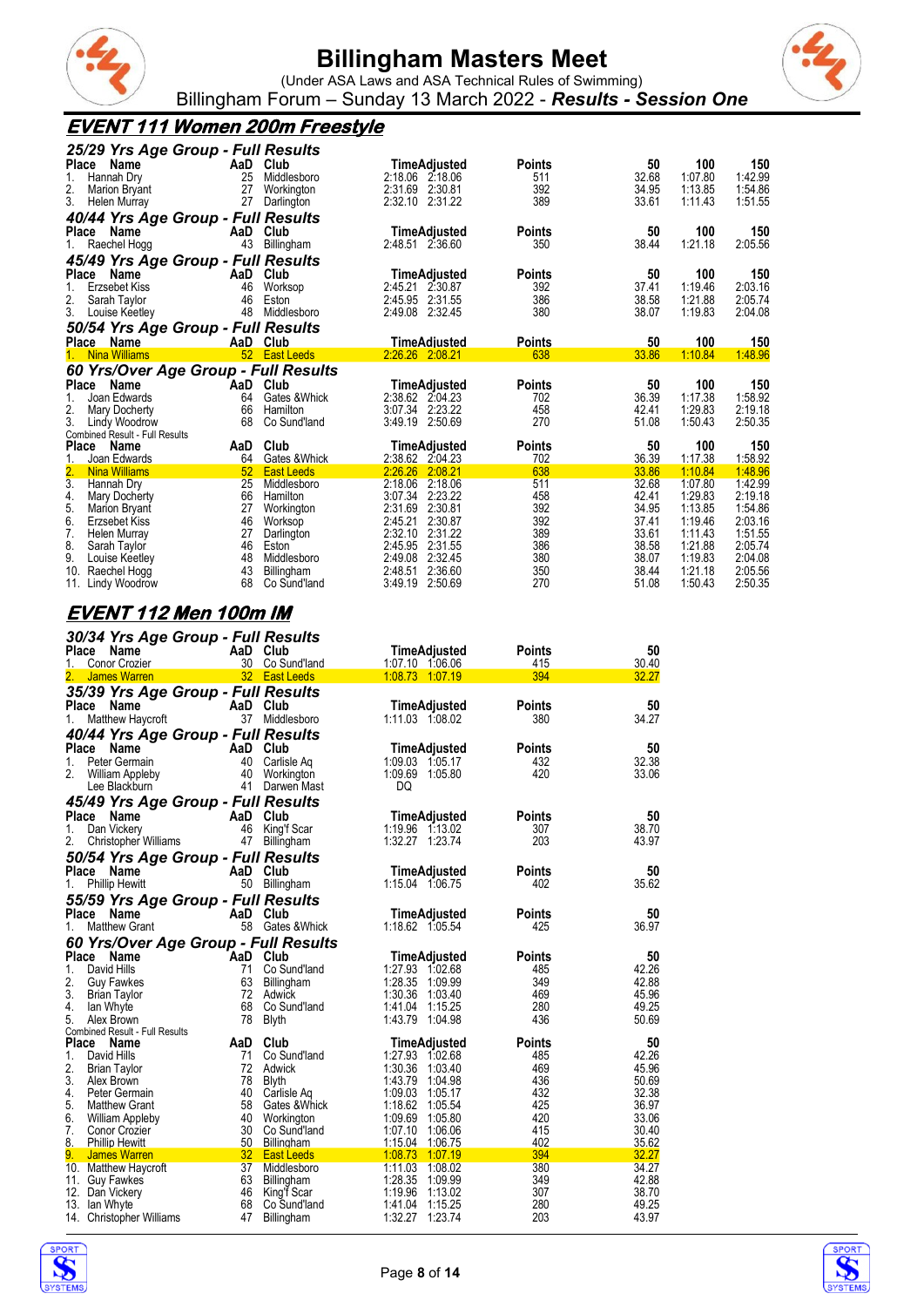



(Under ASA Laws and ASA Technical Rules of Swimming) Billingham Forum – Sunday 13 March 2022 - *Results - Session One*

### **EVENT 111 Women 200m Freestyle**

| 25/29 Yrs Age Group - Full Results    |     |                   |                     |               |       |         |         |
|---------------------------------------|-----|-------------------|---------------------|---------------|-------|---------|---------|
| Place Name                            | AaD | Club              | TimeAdjusted        | Points        | 50    | 100     | 150     |
| Hannah Dry<br>1.                      | 25  | Middlesboro       | 2:18.06 2:18.06     | 511           | 32.68 | 1:07.80 | 1:42.99 |
| 2.<br><b>Marion Bryant</b>            | 27  | Workington        | 2:31.69 2:30.81     | 392           | 34.95 | 1:13.85 | 1:54.86 |
| 3.<br>Helen Murray                    | 27  | Darlington        | 2:32.10 2:31.22     | 389           | 33.61 | 1:11.43 | 1:51.55 |
| 40/44 Yrs Age Group - Full Results    |     |                   |                     |               |       |         |         |
| <b>Place</b><br>Name                  | AaD | Club              | <b>TimeAdjusted</b> | <b>Points</b> | 50    | 100     | 150     |
| Raechel Hogg                          | 43  | Billingham        | 2:48.51 2:36.60     | 350           | 38.44 | 1:21.18 | 2:05.56 |
| 45/49 Yrs Age Group - Full Results    |     |                   |                     |               |       |         |         |
| Place<br>Name                         | AaD | Club              | TimeAdjusted        | <b>Points</b> | 50    | 100     | 150     |
| Erzsebet Kiss                         | 46  | Worksop           | 2:45.21<br>2.30.87  | 392           | 37.41 | 1:19.46 | 2:03.16 |
| 2.<br>Sarah Taylor                    | 46  | Eston             | 2:45.95 2:31.55     | 386           | 38.58 | 1:21.88 | 2:05.74 |
| 3.<br>Louise Keetley                  | 48  | Middlesboro       | 2:49.08<br>2:32.45  | 380           | 38.07 | 1:19.83 | 2:04.08 |
| 50/54 Yrs Age Group - Full Results    |     |                   |                     |               |       |         |         |
| Place Name                            |     | AaD Club          | TimeAdjusted        | <b>Points</b> | 50    | 100     | 150     |
| <b>Nina Williams</b><br>$1_{-}$       |     | 52 East Leeds     | 2.26.26 2:08.21     | 638           | 33.86 | 1:10.84 | 1:48.96 |
| 60 Yrs/Over Age Group - Full Results  |     |                   |                     |               |       |         |         |
| Place Name                            | AaD | Club              | TimeAdjusted        | Points        | 50    | 100     | 150     |
| Joan Edwards                          | 64  | Gates & Whick     | 2:38.62 2:04.23     | 702           | 36.39 | 1:17.38 | 1:58.92 |
| 2.<br>Mary Docherty                   | 66  | Hamilton          | 3:07.34<br>2:23.22  | 458           | 42.41 | 1:29.83 | 2:19.18 |
| 3.<br>Lindy Woodrow                   | 68  | Co Sund'land      | 3:49.19<br>2:50.69  | 270           | 51.08 | 1:50.43 | 2:50.35 |
| <b>Combined Result - Full Results</b> |     |                   |                     |               |       |         |         |
| Place<br>Name                         | AaD | Club              | TimeAdjusted        | Points        | 50    | 100     | 150     |
| Joan Edwards                          | 64  | Gates & Whick     | 2:38.62 2:04.23     | 702           | 36.39 | 1:17.38 | 1:58.92 |
| <b>Nina Williams</b>                  | 52  | <b>East Leeds</b> | 2:26.26<br>2:08.21  | 638           | 33.86 | 1:10.84 | 1:48.96 |
| 3.<br>Hannah Dry                      | 25  | Middlesboro       | 2:18.06<br>2:18.06  | 511           | 32.68 | 1:07.80 | 1:42.99 |
| 4.<br>Mary Docherty                   | 66  | Hamilton          | 3:07.34<br>2:23.22  | 458           | 42.41 | 1:29.83 | 2:19.18 |
| 5.<br><b>Marion Bryant</b>            | 27  | Workington        | 2:31.69<br>2:30.81  | 392           | 34.95 | 1:13.85 | 1:54.86 |
| 6.<br>Erzsebet Kiss                   | 46  | Worksop           | 2:45.21<br>2:30.87  | 392           | 37.41 | 1:19.46 | 2:03.16 |
| 7.<br>Helen Murray                    | 27  | Darlington        | 2:32.10<br>2:31.22  | 389           | 33.61 | 1:11.43 | 1:51.55 |
| 8.<br>Sarah Taylor                    | 46  | Eston             | 2:31.55<br>2:45.95  | 386           | 38.58 | 1:21.88 | 2:05.74 |
| 9.<br>Louise Keetley                  | 48  | Middlesboro       | 2:49.08<br>2:32.45  | 380           | 38.07 | 1:19.83 | 2:04.08 |
| 10.<br>Raechel Hogg                   | 43  | Billingham        | 2:36.60<br>2:48.51  | 350           | 38.44 | 1:21.18 | 2:05.56 |
| 11.<br>Lindy Woodrow                  | 68  | Co Sund'land      | 3:49.19<br>2:50.69  | 270           | 51.08 | 1:50.43 | 2:50.35 |

### **EVENT 112 Men 100m IM**

| 30/34 Yrs Age Group - Full Results                       |                       |                                  |                                    |               |                |
|----------------------------------------------------------|-----------------------|----------------------------------|------------------------------------|---------------|----------------|
| Place<br>Name                                            |                       | AaD Club                         | TimeAdjusted                       | Points        | 50             |
| Conor Crozier<br>1.                                      |                       | 30 Co Sund'land                  | 1:07.10 1:06.06                    | 415           | 30.40          |
| <b>James Warren</b>                                      |                       | 32 East Leeds                    | 1:08.73 1:07.19                    | 394           | 32.27          |
| 35/39 Yrs Age Group - Full Results                       |                       |                                  |                                    |               |                |
| Name<br>Place                                            |                       | AaD Club                         | TimeAdjusted                       | <b>Points</b> | 50             |
| Matthew Haycroft<br>1.                                   |                       | 37 Middlesboro                   | 1:11.03 1:08.02                    | 380           | 34.27          |
| 40/44 Yrs Age Group - Full Results                       |                       |                                  |                                    |               |                |
| Place<br><b>Name</b>                                     |                       | AaD Club                         | <b>TimeAdjusted</b>                | <b>Points</b> | 50             |
| Peter Germain<br>1.                                      | 40                    | Carlisle Ag                      | 1:09.03 1:05.17                    | 432           | 32.38          |
| 2.<br><b>William Appleby</b>                             | 40                    | Workington                       | 1:09.69 1:05.80                    | 420           | 33.06          |
| Lee Blackburn                                            | 41                    | Darwen Mast                      | DQ                                 |               |                |
| 45/49 Yrs Age Group - Full Results                       |                       |                                  |                                    |               |                |
| <b>Place</b><br>Name                                     |                       | AaD Club                         | <b>TimeAdjusted</b>                | <b>Points</b> | 50             |
| Dan Vickery<br>1.                                        | 46                    | King'f Scar                      | 1:19.96 1:13.02                    | 307           | 38.70          |
| 2.<br>Christopher Williams                               | 47                    | Billingham                       | 1:32.27 1:23.74                    | 203           | 43.97          |
| 50/54 Yrs Age Group - Full Results                       |                       |                                  |                                    |               |                |
| Place<br>Name                                            |                       | AaD Club                         | TimeAdjusted                       | <b>Points</b> | 50             |
| <b>Phillip Hewitt</b><br>1.                              |                       | 50 Billingham                    | 1:15.04 1:06.75                    | 402           | 35.62          |
| 55/59 Yrs Age Group - Full Results                       |                       |                                  |                                    |               |                |
| Place<br>Name                                            |                       | AaD Club                         | <b>TimeAdjusted</b>                | <b>Points</b> | 50             |
| <b>Matthew Grant</b><br>1.                               |                       | 58 Gates & Whick                 | 1:18.62 1:05.54                    | 425           | 36.97          |
| 60 Yrs/Over Age Group - Full Results                     |                       |                                  |                                    |               |                |
| Place Name                                               |                       | <b>AaD</b> Club                  | <b>TimeAdjusted</b>                | <b>Points</b> | 50             |
| 1.<br>David Hills                                        | 71                    | Co Sund'land                     | 1:27.93 1:02.68                    | 485           | 42.26          |
| 2.<br><b>Guy Fawkes</b>                                  | 63                    | Billingham                       | 1:28.35<br>1:09.99                 | 349           | 42.88          |
| 3.<br><b>Brian Taylor</b>                                | 72                    | Adwick                           | 1:30.36<br>1:03.40                 | 469           | 45.96          |
| 4.<br>lan Whyte                                          | 68                    | Co Sund'land                     | 1:41.04<br>1:15.25                 | 280           | 49.25          |
| 5.<br>Alex Brown                                         | 78                    | Blyth                            | 1:43.79 1:04.98                    | 436           | 50.69          |
| Combined Result - Full Results                           |                       |                                  |                                    |               |                |
| <b>Place</b><br>Name                                     | AaD                   | Club                             | TimeAdjusted                       | <b>Points</b> | 50             |
| 1.<br>David Hills                                        | 71                    | Co Sund'land                     | 1:27.93 1:02.68                    | 485           | 42.26          |
| 2.<br><b>Brian Taylor</b>                                |                       | 72 Adwick                        | 1:30.36 1:03.40                    | 469           | 45.96          |
| 3.<br>Alex Brown                                         | 78                    | Blyth                            | 1:43.79<br>1:04.98                 | 436           | 50.69          |
| 4.<br>Peter Germain                                      |                       | 40 Carlisle Aq                   | 1:09.03 1:05.17                    | 432           | 32.38          |
| 5.<br><b>Matthew Grant</b>                               | 58                    | Gates & Whick                    | 1:18.62 1:05.54                    | 425           | 36.97          |
| 6.<br><b>William Appleby</b>                             | 40                    | Workington                       | 1:09.69 1:05.80                    | 420           | 33.06          |
| 7.<br>Conor Crozier                                      | 30                    | Co Sund'land                     | 1:07.10<br>1:06.06                 | 415<br>402    | 30.40          |
| 8.<br><b>Phillip Hewitt</b><br>9.<br><b>James Warren</b> | 50<br>32 <sup>2</sup> | Billingham                       | 1:15.04 1:06.75<br>1.08.73 1.07.19 | 394           | 35.62<br>32.27 |
| 10. Matthew Haycroft                                     | 37 <sup>2</sup>       | <b>East Leeds</b><br>Middlesboro | 1:11.03 1:08.02                    | 380           | 34.27          |
| 11. Guy Fawkes                                           | 63                    | Billingham                       | 1:28.35 1:09.99                    | 349           | 42.88          |
| 12. Dan Vickery                                          | 46                    | King'f Scar                      | 1:19.96<br>1:13.02                 | 307           | 38.70          |
| 13. Ian Whyte                                            | 68                    | Co Sund'land                     | 1:41.04<br>1:15.25                 | 280           | 49.25          |
| 14. Christopher Williams                                 | 47                    | Billingham                       | 1:32.27<br>1:23.74                 | 203           | 43.97          |
|                                                          |                       |                                  |                                    |               |                |



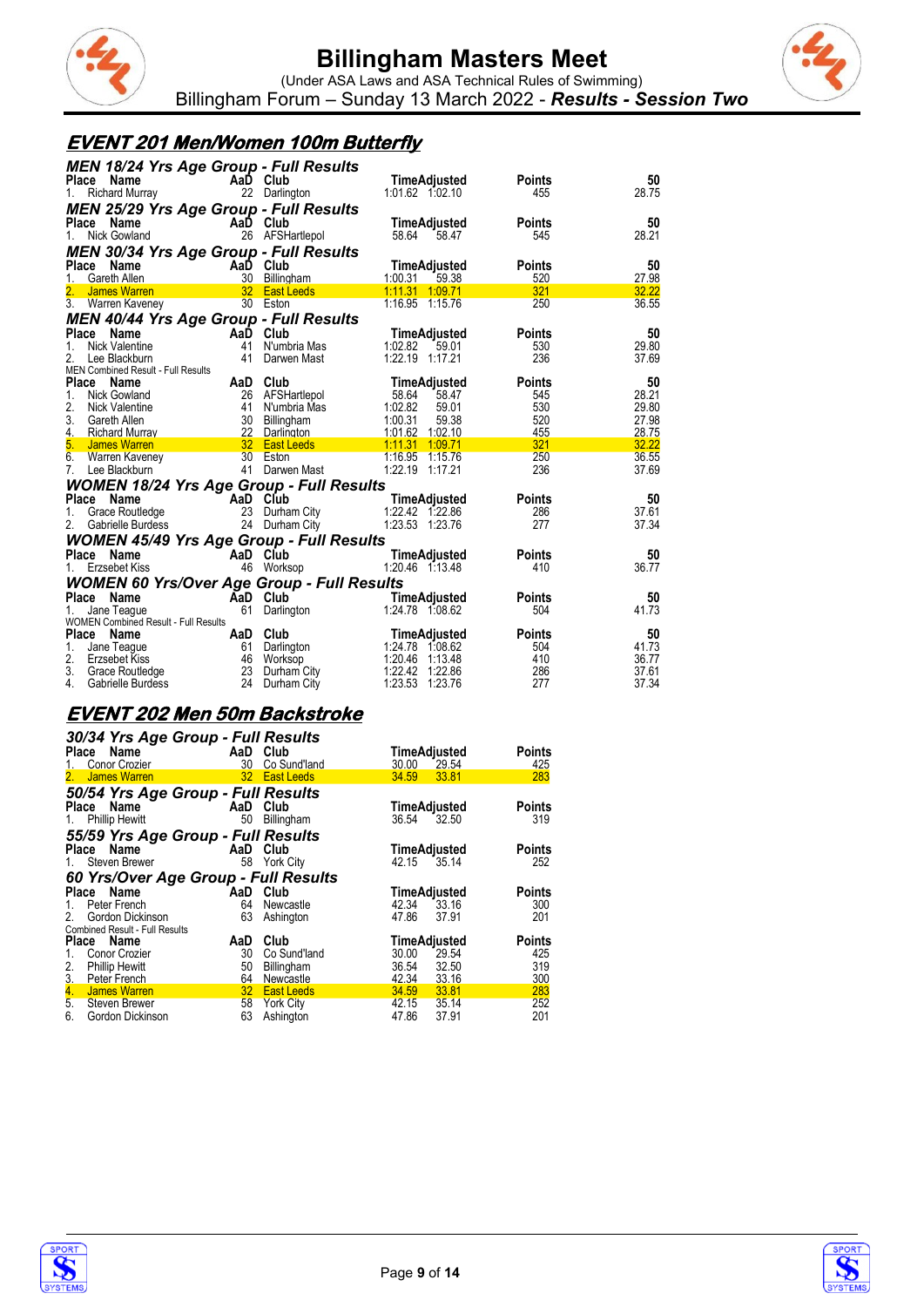



#### **EVENT 201 Men/Women 100m Butterfly**

| MEN 18/24 Yrs Age Group - Full Results<br>Place<br>Name | AaD Club        |                                             | TimeAdjusted        | <b>Points</b> | 50    |
|---------------------------------------------------------|-----------------|---------------------------------------------|---------------------|---------------|-------|
| <b>Richard Murray</b><br>1.                             |                 | 22 Darlington                               | 1:01.62 1:02.10     | 455           | 28.75 |
| <b>MEN 25/29 Yrs Age Group - Full Results</b>           |                 |                                             |                     |               |       |
| Name<br>Place                                           | AaD Club        |                                             | TimeAdjusted        | <b>Points</b> | 50    |
| Nick Gowland<br>1.                                      |                 | 26 AFSHartlepol                             | 58.64<br>58.47      | 545           | 28.21 |
| MEN 30/34 Yrs Age Group - Full Results                  |                 |                                             |                     |               |       |
| Place<br>Name                                           | AaD Club        |                                             | <b>TimeAdjusted</b> | <b>Points</b> | 50    |
| Gareth Allen<br>1.                                      | 30 <sup>°</sup> | Billingham                                  | 1:00.31<br>59.38    | 520           | 27.98 |
| 2.<br>James Warren                                      |                 | 32 East Leeds                               | 1.11.31 1.09.71     | 321           | 32.22 |
| 3. Warren Kaveney                                       |                 | 30 Eston                                    | 1:16.95 1:15.76     | 250           | 36.55 |
| MEN 40/44 Yrs Age Group - Full Results                  |                 |                                             |                     |               |       |
| Place Name                                              | AaĎ             | Club                                        | TimeAdjusted        | <b>Points</b> | 50    |
| Nick Valentine<br>1.                                    | 41              | N'umbria Mas                                | 1:02.82<br>59.01    | 530           | 29.80 |
| 2.<br>Lee Blackburn                                     | 41              | Darwen Mast                                 | 1:22.19 1:17.21     | 236           | 37.69 |
| MEN Combined Result - Full Results                      |                 |                                             |                     |               |       |
| Place Name                                              | AaD Club        |                                             | TimeAdjusted        | Points        | 50    |
| Nick Gowland<br>1.                                      |                 | 26 AFSHartlepol                             | 58.64<br>58.47      | 545           | 28.21 |
| 2.<br>Nick Valentine                                    | 41              | N'umbria Mas                                | 1:02.82<br>59.01    | 530           | 29.80 |
| 3.<br>Gareth Allen                                      |                 | 30 Billingham                               | 1:00.31<br>59.38    | 520           | 27.98 |
| 4.<br><b>Richard Murray</b>                             | 22              | Darlington                                  | 1:01.62 1:02.10     | 455           | 28.75 |
| 5.<br><b>James Warren</b>                               |                 | 32 East Leeds <b>East Alleged</b> East 2014 | 1.11.31<br>1:09.71  | 321           | 32.22 |
| 6.<br><b>Warren Kaveney</b>                             |                 | 30 Eston                                    | 1:16.95 1:15.76     | 250           | 36.55 |
| 7.<br>Lee Blackburn                                     |                 | 41 Darwen Mast                              | 1:22.19 1:17.21     | 236           | 37.69 |
| <b>WOMEN 18/24 Yrs Age Group - Full Results</b>         |                 |                                             |                     |               |       |
| Place Name                                              | AaD Club        |                                             | TimeAdjusted        | Points        | 50    |
| Grace Routledge<br>1.                                   |                 | 23 Durham City                              | 1:22.42 1:22.86     | 286           | 37.61 |
| 2.<br>Gabrielle Burdess                                 |                 | 24 Durham City                              | 1:23.53 1:23.76     | 277           | 37.34 |
| <b>WOMEN 45/49 Yrs Age Group - Full Results</b>         |                 |                                             |                     |               |       |
| Place Name                                              | AaD Club        |                                             | <b>TimeAdjusted</b> | Points        | 50    |
| 1.                                                      |                 |                                             | 1:20.46 1:13.48     | 410           | 36.77 |
| Erzsebet Kiss                                           |                 | 46 Worksop                                  |                     |               |       |
| WOMEN 60 Yrs/Over Age Group - Full Results              |                 |                                             |                     |               |       |
| Place Name                                              | AaD Club        |                                             | TimeAdjusted        | Points        | 50    |
| Jane Teague                                             | 61              | Darlington                                  | 1:24.78 1:08.62     | 504           | 41.73 |
| <b>WOMEN Combined Result - Full Results</b>             |                 |                                             |                     |               |       |
| Place Name                                              | AaD Club        |                                             | TimeAdjusted        | Points        | 50    |
| 1.<br>Jane Teague                                       |                 | 61 Darlington                               | 1:24.78 1.08.62     | 504           | 41.73 |
| 2.<br>Erzsebet Kiss                                     | 46              | Worksop                                     | 1:20.46<br>1.13.48  | 410           | 36.77 |
| 3.<br>Grace Routledge                                   | 23              | Durham City                                 | 1:22.42<br>1:22.86  | 286           | 37.61 |
| 4.<br>Gabrielle Burdess                                 | 24              | Durham City                                 | 1:23.53<br>1:23.76  | 277           | 37.34 |

#### **EVENT 202 Men 50m Backstroke**

| 1.<br>2. | 30/34 Yrs Age Group - Full Results<br>Place Name<br>Conor Crozier<br><b>James Warren</b> | AaD Club<br>30 | Co Sund'land<br>32 East Leeds | TimeAdjusted<br>30.00<br>34.59 33.81 | 29.54 | Points<br>425<br>283 |
|----------|------------------------------------------------------------------------------------------|----------------|-------------------------------|--------------------------------------|-------|----------------------|
|          | 50/54 Yrs Age Group - Full Results                                                       |                |                               |                                      |       |                      |
| 1.       | Place Name<br><b>Phillip Hewitt</b>                                                      | AaD<br>50      | Club<br>Billingham            | TimeAdjusted<br>36.54 32.50          |       | <b>Points</b><br>319 |
|          | 55/59 Yrs Age Group - Full Results                                                       |                |                               |                                      |       |                      |
|          | Place Name                                                                               | AaD            | Club                          | TimeAdjusted                         |       | <b>Points</b>        |
| 1.       | Steven Brewer                                                                            | 58             | York City                     | 42.15                                | 35.14 | 252                  |
|          | 60 Yrs/Over Age Group - Full Results                                                     |                |                               |                                      |       |                      |
|          | Place Name                                                                               | AaD Club       |                               | TimeAdjusted                         |       | <b>Points</b>        |
| 1.       | Peter French                                                                             | 64             | Newcastle                     | 42.34                                | 33.16 | 300                  |
| 2.       | Gordon Dickinson                                                                         | 63             | Ashington                     | 47.86                                | 37.91 | 201                  |
|          | <b>Combined Result - Full Results</b>                                                    |                |                               |                                      |       |                      |
| Place    | Name                                                                                     | AaD            | Club                          | TimeAdjusted                         |       | <b>Points</b>        |
| 1.       | Conor Crozier                                                                            | 30             | Co Sund'land                  | 30.00                                | 29.54 | 425                  |
| 2.       | <b>Phillip Hewitt</b>                                                                    | 50             | Billingham                    | 36.54                                | 32.50 | 319                  |
| 3.       | Peter French                                                                             | 64             | Newcastle                     | 42.34 33.16                          |       | 300                  |
| 4.       | James Warren                                                                             | 32             | <b>East Leeds</b>             | 34.59                                | 33.81 | 283                  |
|          | 5. Steven Brewer                                                                         | 58             | <b>York City</b>              | 42.15                                | 35.14 | 252                  |
| 6.       | Gordon Dickinson                                                                         | 63             | Ashington                     | 47.86                                | 37.91 | 201                  |



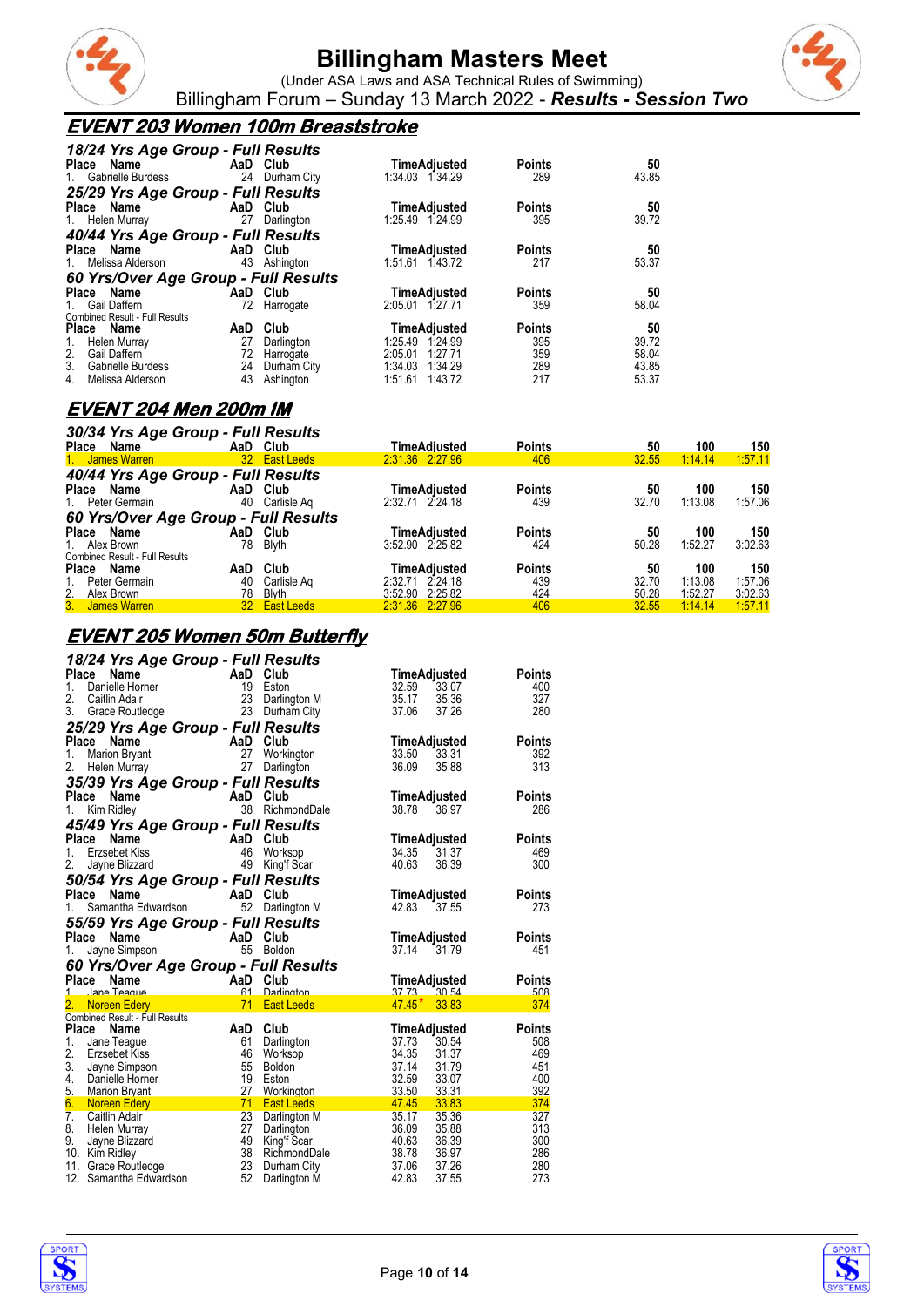



(Under ASA Laws and ASA Technical Rules of Swimming) Billingham Forum – Sunday 13 March 2022 - *Results - Session Two*

### **EVENT 203 Women 100m Breaststroke**

| 18/24 Yrs Age Group - Full Results    |                |                     |               |       |
|---------------------------------------|----------------|---------------------|---------------|-------|
| Place Name                            | AaD Club       | <b>TimeAdjusted</b> | <b>Points</b> | 50    |
| Gabrielle Burdess<br>1.               | 24 Durham City | 1:34.03 1:34.29     | 289           | 43.85 |
| 25/29 Yrs Age Group - Full Results    |                |                     |               |       |
| Place Name                            | AaD Club       | <b>TimeAdjusted</b> | <b>Points</b> | 50    |
| 27<br>1. Helen Murray                 | Darlington     | 1:25.49 1:24.99     | 395           | 39.72 |
| 40/44 Yrs Age Group - Full Results    |                |                     |               |       |
| Place Name                            | AaD Club       | TimeAdjusted        | <b>Points</b> | 50    |
| 1. Melissa Alderson                   | 43 Ashington   | 1:51.61 1:43.72     | 217           | 53.37 |
| 60 Yrs/Over Age Group - Full Results  |                |                     |               |       |
| Place Name                            | AaD Club       | <b>TimeAdjusted</b> | <b>Points</b> | 50    |
| Gail Daffern<br>$1_{\cdot}$           | 72 Harrogate   | 2:05.01 1:27.71     | 359           | 58.04 |
| <b>Combined Result - Full Results</b> |                |                     |               |       |
| Place Name<br>AaD                     | Club           | <b>TimeAdjusted</b> | <b>Points</b> | 50    |
| 27<br>Helen Murray<br>1.              | Darlington     | 1:25.49 1:24.99     | 395           | 39.72 |
| Gail Daffern<br>2.<br>72              | Harrogate      | 2:05.01<br>1:27.71  | 359           | 58.04 |
| 3.<br>24<br>Gabrielle Burdess         | Durham City    | 1:34.03<br>1:34.29  | 289           | 43.85 |
| 43<br>4.<br>Melissa Alderson          | Ashington      | 1:43.72<br>1:51.61  | 217           | 53.37 |

### **EVENT 204 Men 200m IM**

| 30/34 Yrs Age Group - Full Results    |     |               |                 |               |       |         |         |
|---------------------------------------|-----|---------------|-----------------|---------------|-------|---------|---------|
| Place<br>Name                         |     | AaD Club      | TimeAdiusted    | <b>Points</b> | 50    | 100     | 150     |
| 1. James Warren                       |     | 32 East Leeds | 2:31.36 2:27.96 | 406           | 32.55 | 1:14.14 | 1:57.11 |
| 40/44 Yrs Age Group - Full Results    |     |               |                 |               |       |         |         |
| Place Name                            |     | AaD Club      | TimeAdjusted    | <b>Points</b> | 50    | 100     | 150     |
| 1. Peter Germain                      | 40  | Carlisle Ag   | 2:32.71 2:24.18 | 439           | 32.70 | 1:13.08 | 1:57.06 |
| 60 Yrs/Over Age Group - Full Results  |     |               |                 |               |       |         |         |
| Place<br>Name                         | AaD | Club          | TimeAdiusted    | <b>Points</b> | 50    | 100     | 150     |
| 1. Alex Brown                         | 78  | <b>Blyth</b>  | 3:52.90 2:25.82 | 424           | 50.28 | 1:52.27 | 3:02.63 |
| <b>Combined Result - Full Results</b> |     |               |                 |               |       |         |         |
| Name<br>Place                         | AaD | Club          | TimeAdiusted    | <b>Points</b> | 50    | 100     | 150     |
| Peter Germain                         | 40  | Carlisle Ag   | 2:32.71 2:24.18 | 439           | 32.70 | 1:13.08 | 1:57.06 |
| 2.<br>Alex Brown                      | 78  | <b>Blyth</b>  | 3:52.90 2:25.82 | 424           | 50.28 | 1:52.27 | 3:02.63 |
| 3. James Warren                       |     | 32 East Leeds | 2.31.36 2.27.96 | 406           | 32.55 | 1:14.14 | 1:57.11 |

#### **EVENT 205 Women 50m Butterfly**

| 18/24 Yrs Age Group - Full Results                    |          |                                 |                                  |               |
|-------------------------------------------------------|----------|---------------------------------|----------------------------------|---------------|
| Place<br>Name                                         | AaD Club |                                 | TimeAdjusted                     | <b>Points</b> |
| 1.<br>Danielle Horner                                 | 19       | Eston                           | 33.07<br>32.59                   | 400           |
| 2.<br>Caitlin Adair                                   | 23       | Darlington M                    | 35.17<br>35.36                   | 327           |
| 3.<br>Grace Routledge                                 | 23       | Durham City                     | 37.06<br>37.26                   | 280           |
| 25/29 Yrs Age Group - Full Results                    |          |                                 |                                  |               |
| Place<br>AaD<br>$\frac{27}{27}$<br>Name               |          | Club                            | TimeAdjusted                     | <b>Points</b> |
| 1.<br><b>Marion Bryant</b>                            |          | Workington                      | 33.50<br>33.31                   | 392           |
| 2.<br>Helen Murray                                    |          | Darlington                      | 36.09<br>35.88                   | 313           |
| 35/39 Yrs Age Group - Full Results                    |          |                                 |                                  |               |
| Place<br>Name                                         |          | AaD Club                        | TimeAdjusted                     | <b>Points</b> |
| Kim Ridley<br>1.                                      |          | 38 RichmondDale                 | 38.78<br>36.97                   | 286           |
| 45/49 Yrs Age Group - Full Results                    |          |                                 |                                  |               |
| Place<br>Name<br>AaD Club                             |          |                                 | TimeAdjusted                     | <b>Points</b> |
| $1_{-}$<br>Erzsebet Kiss                              |          | Worksop                         | 34.35<br>31.37                   | 469           |
| 2.<br>Jayne Blizzard                                  | 49       | King'f Scar                     | 40.63<br>36.39                   | 300           |
| 50/54 Yrs Age Group - Full Results                    |          |                                 |                                  |               |
| Place<br>Name                                         |          | AaD Club                        | TimeAdjusted                     | Points        |
| 1.<br>Samantha Edwardson                              | 52       | Darlington M                    | 42.83<br>37.55                   | 273           |
|                                                       |          |                                 |                                  |               |
|                                                       |          |                                 |                                  |               |
| 55/59 Yrs Age Group - Full Results<br>Place<br>Name   |          |                                 |                                  | <b>Points</b> |
| AaD Club<br>Jayne Simpson<br>1.                       |          | 55 Boldon                       | TimeAdjusted<br>37.14 31.79      | 451           |
|                                                       |          |                                 |                                  |               |
| 60 Yrs/Over Age Group - Full Results<br>Place<br>Name |          |                                 |                                  | Points        |
| 1 Jane Teague                                         |          | <b>Darlington</b>               | TimeAdjusted<br>$37,73$ $30,54$  | 508           |
| AaD Club<br>61 Darling<br><b>Noreen Edery</b>         | 71       | <b>East Leeds</b>               | $47.45*$<br>33.83                | 374           |
| <b>Combined Result - Full Results</b>                 |          |                                 |                                  |               |
| Place<br>Name                                         | AaD      | Club                            | TimeAdjusted                     | Points        |
| 1.<br>Jane Teague                                     | 61       | Darlington                      | 37.73<br>30.54                   | 508           |
| 2.<br>Erzsebet Kiss                                   | 46       | Worksop                         | 34.35<br>31.37                   | 469           |
| 3. Jayne Simpson                                      | 55       | <b>Boldon</b>                   | 37.14<br>31.79                   | 451           |
| 4.<br>Danielle Horner<br>5.                           | 19<br>27 | Eston                           | 32.59<br>33.07                   | 400<br>392    |
| Marion Bryant<br>6.<br><b>Noreen Edery</b>            | 71       | Workington<br><b>East Leeds</b> | 33.50<br>33.31<br>33.83<br>47.45 | 374           |
| $\overline{7}$ .<br>Caitlin Adair                     | 23       | Darlington M                    | 35.36<br>35.17                   | 327           |
| 8.<br>Helen Murray                                    | 27       | Darlington                      | 36.09<br>35.88                   | 313           |
| 9.<br>Jayne Blizzard                                  | 49       | King'f Scar                     | 40.63<br>36.39                   | 300           |
| 10. Kim Ridley                                        | 38       | RichmondDale                    | 38.78<br>36.97                   | 286           |
| 11. Grace Routledge<br>12. Samantha Edwardson         | 23<br>52 | Durham City<br>Darlington M     | 37.26<br>37.06<br>42.83<br>37.55 | 280<br>273    |



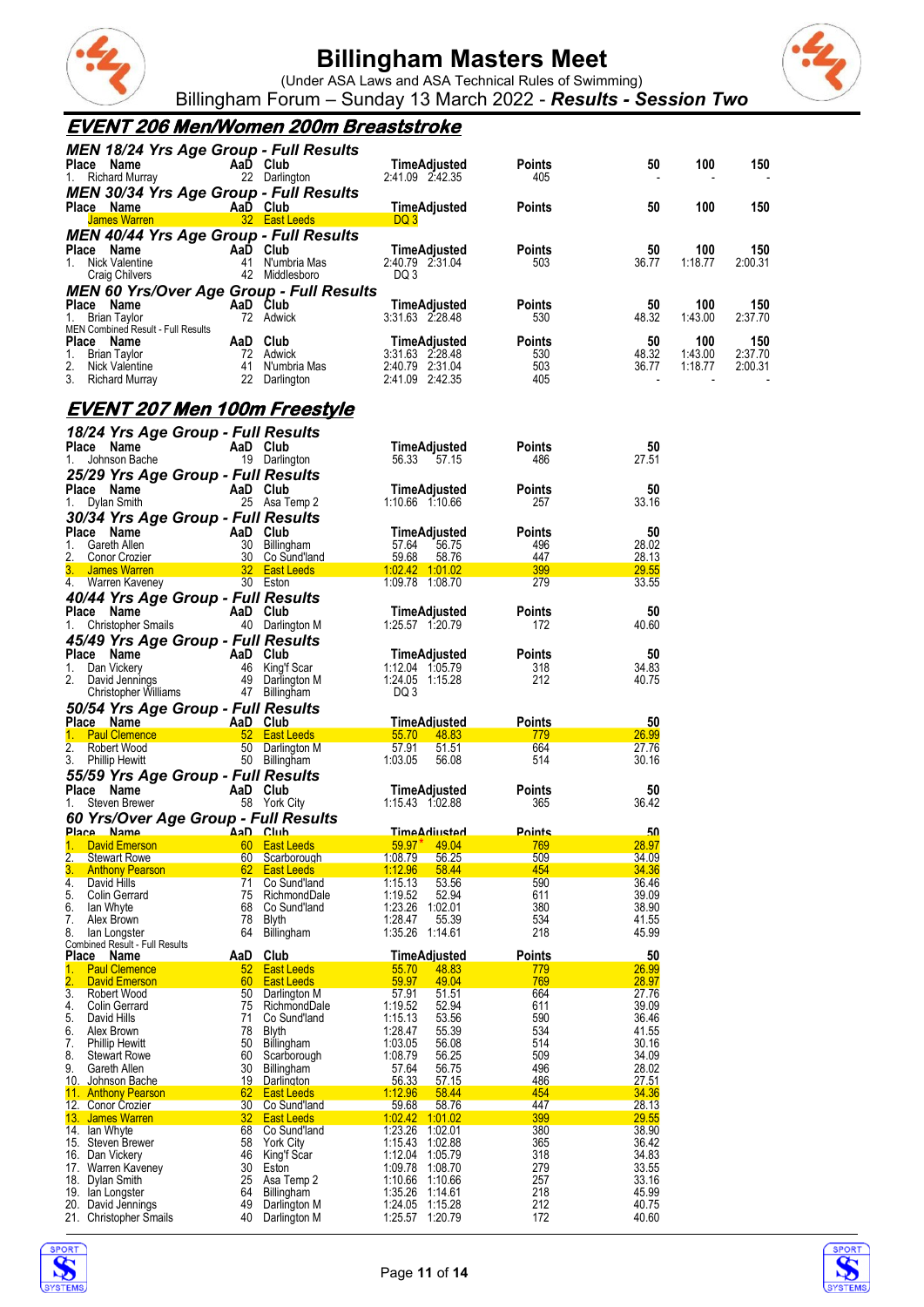

(Under ASA Laws and ASA Technical Rules of Swimming) Billingham Forum – Sunday 13 March 2022 - *Results - Session Two*



### **EVENT 206 Men/Women 200m Breaststroke**

|                        | <b>MEN 18/24 Yrs Age Group - Full Results</b><br>Place Name<br>1. Richard Murray                                                    |                  | AaD Club<br>22 Darlington                                              | TimeAdjusted<br>2:41.09 2:42.35                                       | <b>Points</b><br>405               | 50                   | 100                       | 150                       |
|------------------------|-------------------------------------------------------------------------------------------------------------------------------------|------------------|------------------------------------------------------------------------|-----------------------------------------------------------------------|------------------------------------|----------------------|---------------------------|---------------------------|
|                        | <b>MEN 30/34 Yrs Age Group - Full Results</b><br>Place Name                                                                         |                  | AaD Club                                                               | <b>TimeAdjusted</b><br>DQ 3                                           | Points                             | 50                   | 100                       | 150                       |
|                        | MEN 40/44 Yrs Age Group - Full Results<br>Place Name<br>1. Nick Valentine<br>Craig Chilvers                                         |                  | AaD Club<br>41 N'umbria Mas<br>42 Middlesboro                          | TimeAdjusted<br>2:40.79 2:31.04<br>DQ 3                               | <b>Points</b><br>503               | 50<br>36.77          | 100<br>1:18.77            | 150<br>2:00.31            |
| 1.                     | MEN 60 Yrs/Over Age Group - Full Results<br>Place Name<br>and the contract of<br>Brian Taylor<br>MEN Combined Result - Full Results |                  | AaD Club<br>72 Adwick                                                  | TimeAdjusted<br>3:31.63 2:28.48                                       | <b>Points</b><br>530               | 50<br>48.32          | 100<br>1:43.00            | 150<br>2:37.70            |
|                        | riace Name<br>1. Brian Taylor<br>2. Nick Valentine<br>3. Bisham M<br>3. Richard Murray                                              |                  | AaD Club<br>72 Adwick<br>14 Auwich<br>41 N'umbria Mas<br>22 Darlington | TimeAdjusted<br>3:31.63 2:28.48<br>2:40.79 2:31.04<br>2.41.09 2.42.35 | <b>Points</b><br>530<br>503<br>405 | 50<br>48.32<br>36.77 | 100<br>1:43.00<br>1:18.77 | 150<br>2:37.70<br>2:00.31 |
|                        | <u>EVENT 207 Men 100m Freestyle</u>                                                                                                 |                  |                                                                        |                                                                       |                                    |                      |                           |                           |
|                        | 18/24 Yrs Age Group - Full Results<br>Place Name<br>1. Johnson Bache                                                                |                  | AaD Club<br>19 Darlington                                              | TimeAdjusted<br>56.33 57.15                                           | Points<br>486                      | 50<br>27.51          |                           |                           |
| 1.                     | 25/29 Yrs Age Group - Full Results<br>Place Name<br><b>Example 2 AaD</b> Club<br>Dylan Smith<br>30/34 Yrs Age Group - Full Results  |                  | 25 Asa Temp 2                                                          | TimeAdjusted<br>1:10.66 1:10.66                                       | Points<br>257                      | 50<br>33.16          |                           |                           |
|                        | Place Name<br>1. Gareth Allen<br>2. Conor Crozier                                                                                   |                  | AaD Club<br>30 Billingham<br>30 Co Sund'land                           | TimeAdjusted<br>57.64<br>56.75<br>59.68<br>58.76                      | Points<br>496<br>447               | 50<br>28.02<br>28.13 |                           |                           |
|                        | 3. James Warren<br>4. Warren Kaveney                                                                                                |                  | 30 Eston                                                               | 1:02.42 1:01.02<br>1:09.78 1:08.70                                    | 399<br>279                         | 29.55<br>33.55       |                           |                           |
|                        | 40/44 Yrs Age Group - Full Results<br>Place Name<br>1. Christopher Smails<br>45/49 Yrs Age Group - Full Results                     |                  | AaD Club<br>40 Darlington M                                            | TimeAdjusted<br>1:25.57 1:20.79                                       | Points<br>172                      | 50<br>40.60          |                           |                           |
|                        | Place Name<br>AaD Club<br>1. Dan Vickery<br>2. David Jennings<br>Christopher Williams                                               |                  | 46 King'f Scar<br>49 Darlington M<br>47 Billingham                     | TimeAdjusted<br>1:12.04 1:05.79<br>1:24.05 1:15.28<br>DQ 3            | Points<br>318<br>212               | 50<br>34.83<br>40.75 |                           |                           |
|                        | 50/54 Yrs Age Group - Full Results<br>Place Name AaD Club<br>1. Paul Clemence                                                       |                  | <b>Example 12 52 East Leeds</b>                                        | TimeAdjusted<br>55.70<br>48.83                                        | <b>Points</b><br>779               | 50<br>26.99          |                           |                           |
|                        | 2. Robert Wood<br>3. Phillip Hewitt                                                                                                 |                  | 50 Darlington M<br>50 Billingham                                       | 57.91<br>51.51<br>1:03.05<br>56.08                                    | 664<br>514                         | 27.76<br>30.16       |                           |                           |
|                        | 55/59 Yrs Age Group - Full Results<br>Place Name<br>1. Steven Brewer                                                                |                  | AaD Club<br>58 York City                                               | TimeAdjusted<br>1:15.43 1:02.88                                       | <b>Points</b><br>365               | 50<br>36.42          |                           |                           |
|                        | 60 Yrs/Over Age Group - Full Results<br><u>Place Name  AaD Club</u>                                                                 |                  |                                                                        | <u>TimeAdiusted</u>                                                   | <u>Points</u>                      | 50                   |                           |                           |
| 1.<br>2.               | <b>David Emerson</b><br><b>Stewart Rowe</b>                                                                                         | 60<br>60         | <b>East Leeds</b><br>Scarborough                                       | 59.97'<br>49.04<br>1:08.79<br>56.25                                   | 769<br>509                         | 28.97<br>34.09       |                           |                           |
| 3.<br>4.               | <b>Anthony Pearson</b><br>David Hills                                                                                               | 62<br>71         | East Leeds<br>Co Sund'land                                             | 1:12.96<br>58.44<br>1:15.13<br>53.56                                  | 454<br>590                         | 34.36<br>36.46       |                           |                           |
| 5.                     | Colin Gerrard                                                                                                                       | 75               | RichmondDale                                                           | 1:19.52<br>52.94                                                      | 611                                | 39.09                |                           |                           |
| 6.<br>7.               | lan Whyte<br>Alex Brown                                                                                                             | 68<br>78         | Co Sund'land<br><b>Blyth</b>                                           | 1:23.26<br>1:02.01<br>1:28.47<br>55.39                                | 380<br>534                         | 38.90<br>41.55       |                           |                           |
| 8.                     | lan Longster                                                                                                                        | 64               | Billingham                                                             | 1:35.26<br>1:14.61                                                    | 218                                | 45.99                |                           |                           |
|                        | Combined Result - Full Results<br>Place Name                                                                                        | AaD              | Club                                                                   | <b>TimeAdiusted</b>                                                   | <b>Points</b>                      | 50                   |                           |                           |
| 1.<br>$\overline{2}$ . | <b>Paul Clemence</b><br>David Emerson                                                                                               | 52<br>60         | East Leeds<br><b>East Leeds</b>                                        | 55.70<br>48.83<br>59.97<br>49.04                                      | 779<br>769                         | 26.99<br>28.97       |                           |                           |
| 3.                     | Robert Wood                                                                                                                         | 50               | Darlington M                                                           | 57.91<br>51.51                                                        | 664                                | 27.76                |                           |                           |
| 4.<br>5.               | Colin Gerrard<br>David Hills                                                                                                        | 75<br>71         | RichmondDale<br>Co Sund'land                                           | 1:19.52<br>52.94<br>1:15.13<br>53.56                                  | 611<br>590                         | 39.09<br>36.46       |                           |                           |
| 6.                     | Alex Brown                                                                                                                          | 78               | <b>Blyth</b>                                                           | 1:28.47<br>55.39                                                      | 534                                | 41.55                |                           |                           |
| 7.<br>8.               | <b>Phillip Hewitt</b><br><b>Stewart Rowe</b>                                                                                        | 50<br>60         | Billingham<br>Scarborough                                              | 1:03.05<br>56.08<br>1:08.79<br>56.25                                  | 514<br>509                         | 30.16<br>34.09       |                           |                           |
| 9.                     | Gareth Allen                                                                                                                        | 30               | Billingham                                                             | 57.64<br>56.75                                                        | 496                                | 28.02                |                           |                           |
| 10.                    | Johnson Bache                                                                                                                       | <u> 19</u><br>62 | Darlington                                                             | 56.33<br>57.15<br>1:12.96<br>58.44                                    | 486<br>454                         | 27.51<br>34.36       |                           |                           |
|                        | 11. Anthony Pearson<br>12. Conor Crozier                                                                                            | 30               | East Leeds<br>Co Sund'land                                             | 59.68<br>58.76                                                        | 447                                | 28.13                |                           |                           |
|                        | 13. James Warren                                                                                                                    | 32               | East Leeds                                                             | 1:02.42 1:01.02                                                       | 399                                | 29.55                |                           |                           |
|                        | 14. Ian Whyte<br>15. Steven Brewer                                                                                                  | 68<br>58         | Co Sund'land<br>York City                                              | 1:23.26<br>1:02.01<br>1:15.43<br>1:02.88                              | 380<br>365                         | 38.90<br>36.42       |                           |                           |
|                        | 16. Dan Vickery                                                                                                                     | 46               | King'f Scar                                                            | 1:12.04<br>1:05.79                                                    | 318                                | 34.83                |                           |                           |
| 17.<br>18.             | Warren Kaveney<br>Dylan Smith                                                                                                       | 30<br>25         | Eston<br>Asa Temp 2                                                    | 1:09.78<br>1:08.70<br>1:10.66<br>1:10.66                              | 279<br>257                         | 33.55<br>33.16       |                           |                           |
| 19.                    | lan Longster                                                                                                                        | 64               | Billingham                                                             | 1:35.26<br>1:14.61                                                    | 218                                | 45.99                |                           |                           |
|                        | 20. David Jennings<br>21. Christopher Smails                                                                                        | 49<br>40         | Darlington M<br>Darlington M                                           | 1:15.28<br>1:24.05<br>1:25.57<br>1:20.79                              | 212<br>172                         | 40.75<br>40.60       |                           |                           |
|                        |                                                                                                                                     |                  |                                                                        |                                                                       |                                    |                      |                           |                           |



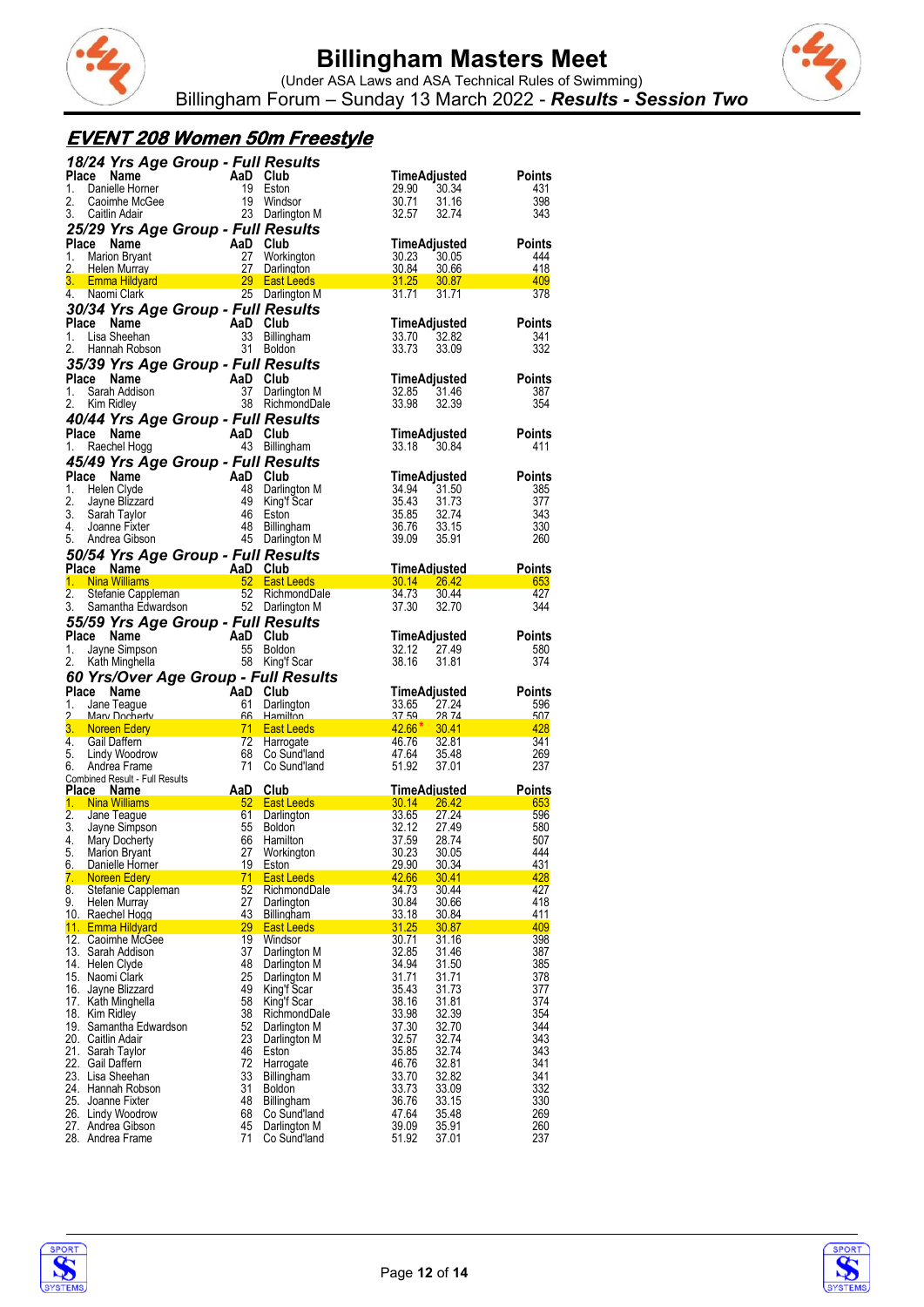



### **EVENT 208 Women 50m Freestyle**

|                  | 18/24 Yrs Age Group - Full Results                         |                |                                      |                             |                |               |
|------------------|------------------------------------------------------------|----------------|--------------------------------------|-----------------------------|----------------|---------------|
| <b>Place</b>     | Name                                                       | AaD Club       |                                      | TimeAdjusted                |                | Points        |
| 1.<br>2.         | Danielle Homer<br>Caoimhe McGee                            | 19<br>19       | Eston<br>Windsor                     | 29.90<br>30.71              | 30.34<br>31.16 | 431<br>398    |
| 3.               | Caitlin Adair                                              | 23             | Darlington M                         | 32.57                       | 32.74          | 343           |
|                  | 25/29 Yrs Age Group - Full Results                         |                |                                      |                             |                |               |
| Place            | Name                                                       | AaD Club       |                                      | TimeAdjusted                |                | <b>Points</b> |
| 1.               | <b>Marion Bryant</b>                                       | 27             | Workington                           | 30.23                       | 30.05          | 444           |
| 2.               | <b>Helen Murray</b>                                        | 27             | Darlington                           | 30.84                       | 30.66          | 418           |
| 3.               | <b>Emma Hildyard</b><br>4. Naomi Clark                     | 29             | <b>East Leeds</b><br>25 Darlington M | 31.25<br>31.71              | 30.87<br>31.71 | 409<br>378    |
|                  | 30/34 Yrs Age Group - Full Results                         |                |                                      |                             |                |               |
| Place            | Name                                                       | AaD Club       |                                      | TimeAdjusted                |                | <b>Points</b> |
| 1.               | Lisa Sheehan                                               | 33             | <b>Billingham</b>                    | 33.70                       | 32.82          | 341           |
| 2.               | Hannah Robson                                              |                | 31 Boldon                            | 33.73                       | 33.09          | 332           |
|                  | 35/39 Yrs Age Group - Full Results                         |                |                                      |                             |                |               |
| Place            | Name                                                       | AaD            | Club                                 | TimeAdjusted                |                | Points        |
| 1.               | Sarah Addison                                              | 37             | Darlington M                         | 32.85                       | 31.46          | 387           |
| 2.               | Kim Ridley                                                 |                | 38 RichmondDale                      | 33.98                       | 32.39          | 354           |
|                  | 40/44 Yrs Age Group - Full Results                         |                |                                      |                             |                |               |
| Place<br>1.      | Name<br>Raechel Hogg                                       | AaD Club<br>43 | Billingham                           | TimeAdjusted<br>33.18       | 30.84          | Points<br>411 |
|                  | 45/49 Yrs Age Group - Full Results                         |                |                                      |                             |                |               |
| Place            | Name                                                       | AaD            | Club                                 | TimeAdjusted                |                | Points        |
| 1.               | Helen Clyde                                                | 48             | Darlington M                         | 34.94                       | 31.50          | 385           |
| 2.               | Jayne Blizzard                                             | 49             | King'f Scar                          | 35.43                       | 31.73          | 377           |
| 3.               | Sarah Taylor                                               | 46             | Eston                                | 35.85                       | 32.74          | 343           |
| 4.               | Joanne Fixter                                              | 48             | <b>Billingham</b>                    | 36.76                       | 33.15          | 330           |
| 5.               | Andrea Gibson                                              |                | 45 Darlington M                      | 39.09                       | 35.91          | 260           |
|                  | 50/54 Yrs Age Group - Full Results<br>Place Name           |                | Club                                 |                             |                |               |
| 1.               | <b>Nina Williams</b><br>$\sim$ $\sim$ $\sim$ 52            | AaD            | <b>East Leeds</b>                    | TimeAdjusted<br>30.14 26.42 |                | Points<br>653 |
| 2.               | Stefanie Cappleman                                         |                | 52 RichmondDale                      | 34.73                       | 30.44          | 427           |
| 3.               | Samantha Edwardson                                         |                | 52 Darlington M                      | 37.30                       | 32.70          | 344           |
|                  | 55/59 Yrs Age Group - Full Results                         |                |                                      |                             |                |               |
| Place            | Name                                                       | AaD            | Club                                 | TimeAdjusted                |                | <b>Points</b> |
| 1.               | Jayne Simpson                                              | 55             | <b>Boldon</b>                        | 32.12                       | 27.49          | 580           |
|                  |                                                            |                |                                      |                             |                |               |
| 2.               | Kath Minghella                                             | 58             | King'f Scar                          | 38.16                       | 31.81          | 374           |
|                  | 60 Yrs/Over Age Group - Full Results                       |                |                                      |                             |                |               |
| Place            | Name                                                       | AaD Club       |                                      | TimeAdjusted                |                | <b>Points</b> |
| 1.<br>2          | Jane Teague<br><u>Mary Docherty</u>                        | 61             | Darlington<br>66 Hamilton            | 33.65<br>37.59              | 27.24<br>28 74 | 596<br>507    |
| 3.               | Noreen Edery                                               | 71             | <b>East Leeds</b>                    | $42.66*$                    | 30.41          | 428           |
| 4.               | Gail Daffern                                               | 72             | Harrogate                            | 46.76                       | 32.81          | 341           |
| 5.               | Lindy Woodrow                                              | 68             | Co Sund'land                         | 47.64                       | 35.48          | 269           |
| 6.               | Andrea Frame<br>Combined Result - Full Results             | 71             | Co Sund'land                         | 51.92                       | 37.01          | 237           |
| <b>Place</b>     | Name                                                       | AaD            | Club                                 | TimeAdjusted                |                | Points        |
|                  | 1. Nina Williams                                           |                | 52 East Leeds                        | $30.14$ $26.42$             |                | 653           |
| $\overline{2}$ . | Jane Teague                                                | 61             | Darlington                           | 33.65                       | 27.24          | 596           |
| 3.<br>4.         | Jayne Simpson                                              | 55<br>66       | <b>Boldon</b><br>Hamilton            | 32.12<br>37.59              | 27.49<br>28.74 | 580<br>507    |
| 5.               | Mary Docherty<br><b>Marion Bryant</b>                      | 27             |                                      | 30.23                       | 30.05          | 444           |
| 6.               | Danielle Horner                                            | 19             | Workington<br><b>Eston</b>           | <u>29.90</u>                | <u>30.34</u>   | 431           |
| 7.               | Noreen Edery                                               | 71             | <b>East Leeds</b>                    | 42.66                       | 30.41          | 428           |
| 8.               | Stefanie Cappleman                                         | 52             | RichmondDale                         | 34.73                       | 30.44          | 427           |
| 9.               | Helen Murray<br>10. Raechel Hogg                           | 27<br>43       | Darlington<br><b>Billingham</b>      | 30.84<br>33.18              | 30.66<br>30.84 | 418<br>411    |
|                  | 11. Emma Hildyard                                          | 29             | East Leeds                           | 31.25                       | 30.87          | 409           |
|                  | 12. Caoimhe McGee                                          | 19             | Windsor                              | 30.71                       | 31.16          | 398           |
|                  | 13. Sarah Addison                                          | 37             | Darlington M                         | 32.85                       | 31.46          | 387           |
|                  | 14. Helen Clyde<br>15. Naomi Clark                         | 48<br>25       | Darlington M<br>Darlington M         | 34.94<br>31.71              | 31.50<br>31.71 | 385<br>378    |
|                  | 16. Jayne Blizzard                                         | 49             | King'f Scar                          | 35.43                       | 31.73          | 377           |
|                  | 17. Kath Minghella                                         | 58             | King'f Scar                          | 38.16                       | 31.81          | 374           |
|                  | 18. Kim Ridley                                             | 38             | RichmondDale                         | 33.98                       | 32.39          | 354           |
|                  | 19. Samantha Edwardson<br>20. Caitlin Adair                | 52             | Darlington M                         | 37.30                       | 32.70          | 344           |
|                  | 21. Sarah Taylor                                           | 23<br>46       | Darlington M<br>Eston                | 32.57<br>35.85              | 32.74<br>32.74 | 343<br>343    |
|                  | 22. Gail Daffern                                           | 72             | Harrogate                            | 46.76                       | 32.81          | 341           |
|                  | 23. Lisa Sheehan                                           | 33             | Billingham                           | 33.70                       | 32.82          | 341           |
|                  | 24. Hannah Robson                                          | 31             | <b>Boldon</b>                        | 33.73                       | 33.09          | 332           |
|                  | 25. Joanne Fixter                                          | 48<br>68       | Billingham<br>Co Sund'land           | 36.76<br>47.64              | 33.15<br>35.48 | 330<br>269    |
|                  | 26. Lindy Woodrow<br>27. Andrea Gibson<br>28. Andrea Frame | 45<br>71       | Darlington M<br>Co Sund'land         | 39.09<br>51.92              | 35.91<br>37.01 | 260<br>237    |



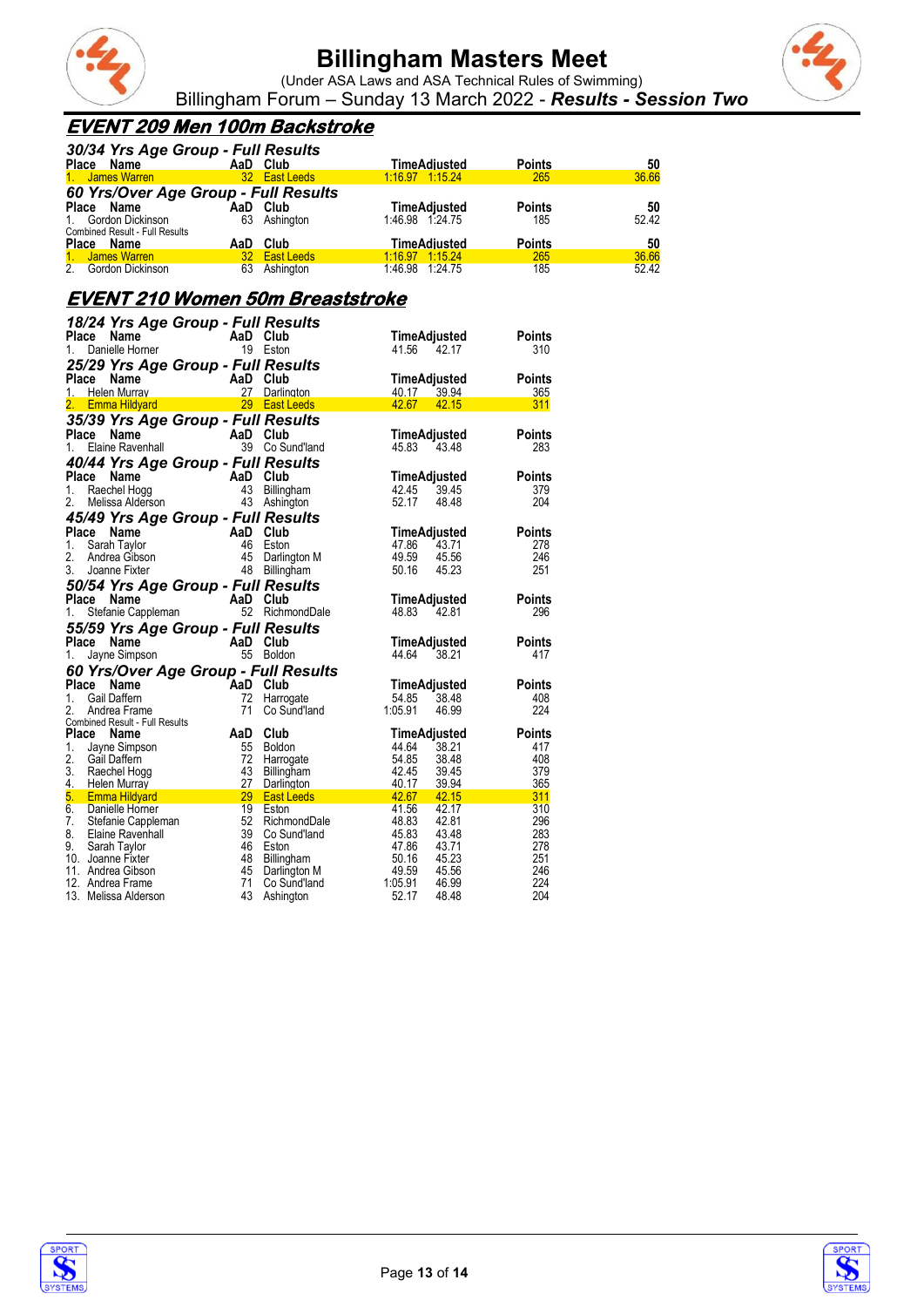

(Under ASA Laws and ASA Technical Rules of Swimming) Billingham Forum – Sunday 13 March 2022 - *Results - Session Two*

#### **EVENT 209 Men 100m Backstroke**

| 30/34 Yrs Age Group - Full Results    |    |               |                 |               |       |
|---------------------------------------|----|---------------|-----------------|---------------|-------|
| Place Name                            |    | AaD Club      | TimeAdjusted    | <b>Points</b> | 50    |
| 1. James Warren                       |    | 32 East Leeds | 1:16.97 1:15.24 | 265           | 36.66 |
| 60 Yrs/Over Age Group - Full Results  |    |               |                 |               |       |
| Place Name                            |    | AaD Club      | TimeAdiusted    | <b>Points</b> | 50    |
| 1. Gordon Dickinson                   |    | 63 Ashington  | 1:46.98 1:24.75 | 185           | 52.42 |
| <b>Combined Result - Full Results</b> |    |               |                 |               |       |
| Place Name                            |    | AaD Club      | TimeAdiusted    | <b>Points</b> | 50    |
| 1. James Warren                       |    | 32 East Leeds | 1.16.97 1:15.24 | 265           | 36.66 |
| 2 <sub>1</sub><br>Gordon Dickinson    | 63 | Ashington     | 1.46.98 1.24.75 | 185           | 52.42 |

### **EVENT 210 Women 50m Breaststroke**

|          | 18/24 Yrs Age Group - Full Results                                                                     |                 |                                           |                                  |               |
|----------|--------------------------------------------------------------------------------------------------------|-----------------|-------------------------------------------|----------------------------------|---------------|
|          | <b>AaD</b> Club<br>r 19 Eston<br>Place<br>Name                                                         |                 |                                           | TimeAdjusted                     | Points        |
| 1.       | Danielle Horner                                                                                        |                 | 19 Eston                                  | 41.56<br>42.17                   | 310           |
|          | 25/29 Yrs Age Group - Full Results                                                                     |                 |                                           |                                  |               |
|          |                                                                                                        |                 |                                           | TimeAdjusted                     | Points        |
|          |                                                                                                        |                 |                                           | 40.17 39.94                      | 365           |
|          | <b>Place Name AaD Club</b><br>1. Helen Murray <b>AaD Club</b><br>2. Emma Hildyard <b>29 East Leeds</b> |                 |                                           | 42.67<br>42.15                   | 311           |
|          | 35/39 Yrs Age Group - Full Results                                                                     |                 |                                           |                                  |               |
|          | $\parallel$ AaD Club<br>Place<br>Name                                                                  |                 |                                           | <b>TimeAdjusted</b>              | <b>Points</b> |
| 1.       | Elaine Ravenhall                                                                                       |                 | 39 Co Sund'land                           | 45.83<br>43.48                   | 283           |
|          | 40/44 Yrs Age Group - Full Results                                                                     |                 |                                           |                                  |               |
|          | Place<br>Name                                                                                          |                 | AaD Club<br>43 Billingham<br>43 Ashinoton | TimeAdjusted                     | Points        |
| 1.       | Raechel Hogg                                                                                           |                 |                                           | 42.45<br>39.45                   | 379           |
| 2.       | Melissa Alderson                                                                                       |                 | 43 Ashington                              | 52.17<br>48.48                   | 204           |
|          | 45/49 Yrs Age Group - Full Results                                                                     |                 |                                           |                                  |               |
| Place    | AaD Club<br>46 Eston<br>45 Darling<br>Name                                                             |                 |                                           | TimeAdjusted                     | <b>Points</b> |
| 1.       | Sarah Taylor                                                                                           |                 |                                           | 47.86<br>$-43.71$                | 278           |
| 2.       | Andrea Gibson                                                                                          |                 | Darlington M                              | 49.59<br>45.56                   | 246           |
| 3.       | Joanne Fixter                                                                                          | 48              | Billingham                                | 50.16<br>45.23                   | 251           |
|          |                                                                                                        |                 |                                           |                                  |               |
|          | 50/54 Yrs Age Group - Full Results                                                                     |                 |                                           |                                  |               |
|          | Place Name                                                                                             |                 |                                           | TimeAdjusted                     | <b>Points</b> |
| 1.       | Stefanie Cappleman<br>Stefanie Cappleman<br>52 Bichmeter<br>52 Bichmeter                               |                 | RichmondDale                              | 48.83<br>42.81                   | 296           |
|          | 55/59 Yrs Age Group - Full Results                                                                     |                 |                                           |                                  |               |
|          | AaD Club<br>55 Boldon<br>Place<br>Name                                                                 |                 |                                           | TimeAdjusted                     | <b>Points</b> |
| 1.       | Jayne Simpson                                                                                          |                 |                                           | 44.64<br>38.21                   | 417           |
|          | 60 Yrs/Over Age Group - Full Results                                                                   |                 |                                           |                                  |               |
|          | <b>AaD</b> Club<br>Place Name                                                                          |                 |                                           | TimeAdjusted                     | <b>Points</b> |
| 1.       | Gail Daffern                                                                                           |                 | Harrogate                                 | 54.85<br>38.48                   | 408           |
| 2.       | Andrea Frame                                                                                           | 71              | Co Sund'land                              | 1:05.91<br>46.99                 | 224           |
|          | Combined Result - Full Results                                                                         |                 |                                           |                                  |               |
|          | Place Name                                                                                             | AaD Club        |                                           | TimeAdjusted                     | <b>Points</b> |
| 1.<br>2. | Jayne Simpson                                                                                          | 55              | <b>Boldon</b>                             | 44.64<br>38.21                   | 417           |
| 3.       | Gail Daffern                                                                                           | $\frac{72}{43}$ | Harrogate                                 | 54.85<br>38.48                   | 408           |
| 4.       | Raechel Hogg                                                                                           | 43<br>27        | Billingham                                | 42.45<br>39.45<br>40.17<br>39.94 | 379<br>365    |
| 5.       | Helen Murray<br><b>Emma Hildyard</b>                                                                   | 29              | Darlington<br><b>East Leeds</b>           | 42.67<br>42.15                   | 311           |
| 6.       | Danielle Horner                                                                                        | 19              | Eston                                     | 41.56<br>42.17                   | 310           |
| 7.       | Stefanie Cappleman                                                                                     |                 | 52 RichmondDale                           | 48.83<br>42.81                   | 296           |
| 8.       | Elaine Ravenhall                                                                                       | 39              | Co Sund'land                              | 45.83<br>43.48                   | 283           |
| 9.       | Sarah Taylor                                                                                           | 46              | Eston                                     | 47.86<br>43.71                   | 278           |
|          | 10. Joanne Fixter                                                                                      | 48              | Billingham                                | 50.16<br>45.23                   | 251           |
|          | 11. Andrea Gibson                                                                                      | 45              | Darlington M                              | 49.59<br>45.56                   | 246           |
|          | 12. Andrea Frame                                                                                       | 71              | Co Sund'land                              | 1:05.91<br>46.99                 | 224           |
|          | 13. Melissa Alderson                                                                                   | 43              | Ashington                                 | 52.17<br>48.48                   | 204           |
|          |                                                                                                        |                 |                                           |                                  |               |